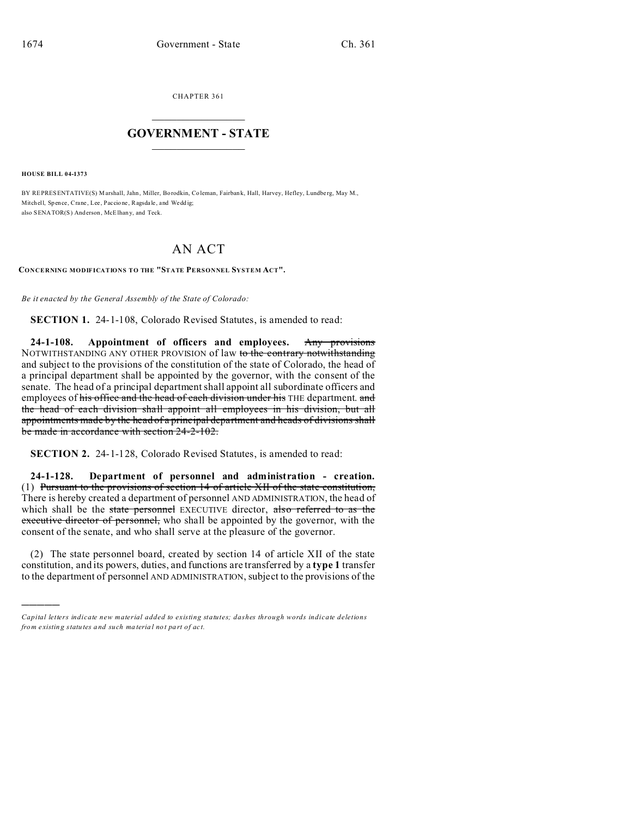CHAPTER 361  $\overline{\phantom{a}}$  , where  $\overline{\phantom{a}}$ 

## **GOVERNMENT - STATE**  $\_$   $\_$

**HOUSE BILL 04-1373**

)))))

BY REPRESENTATIVE(S) Marshall, Jahn, Miller, Borodkin, Coleman, Fairbank, Hall, Harvey, Hefley, Lundberg, May M., Mitchell, Spence, Crane, Lee, Paccione, Ragsdale, and Wedd ig: also SENATOR(S) And erson, McElhan y, and Teck.

## AN ACT

**CONCERNING MODIFICATIONS TO THE "STATE PERSONNEL SYSTEM ACT".**

*Be it enacted by the General Assembly of the State of Colorado:*

**SECTION 1.** 24-1-108, Colorado Revised Statutes, is amended to read:

**24-1-108. Appointment of officers and employees.** Any provisions NOTWITHSTANDING ANY OTHER PROVISION of law to the contrary notwithstanding and subject to the provisions of the constitution of the state of Colorado, the head of a principal department shall be appointed by the governor, with the consent of the senate. The head of a principal department shall appoint all subordinate officers and employees of his office and the head of each division under his THE department. and the head of each division shall appoint all employees in his division, but all appointments made by the head of a principal department and heads of divisions shall be made in accordance with section 24-2-102.

**SECTION 2.** 24-1-128, Colorado Revised Statutes, is amended to read:

**24-1-128. Department of personnel and administration - creation.** (1) Pursuant to the provisions of section 14 of article XII of the state constitution, There is hereby created a department of personnel AND ADMINISTRATION, the head of which shall be the state personnel EXECUTIVE director, also referred to as the executive director of personnel, who shall be appointed by the governor, with the consent of the senate, and who shall serve at the pleasure of the governor.

(2) The state personnel board, created by section 14 of article XII of the state constitution, and its powers, duties, and functions are transferred by a **type 1** transfer to the department of personnel AND ADMINISTRATION, subject to the provisions of the

*Capital letters indicate new material added to existing statutes; dashes through words indicate deletions from e xistin g statu tes a nd such ma teria l no t pa rt of ac t.*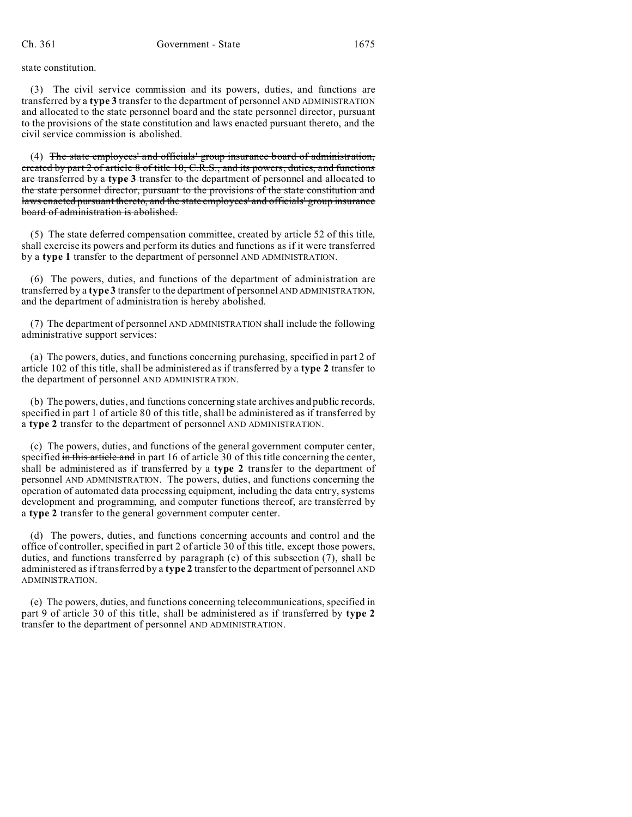state constitution.

(3) The civil service commission and its powers, duties, and functions are transferred by a **type 3** transfer to the department of personnel AND ADMINISTRATION and allocated to the state personnel board and the state personnel director, pursuant to the provisions of the state constitution and laws enacted pursuant thereto, and the civil service commission is abolished.

(4) The state employees' and officials' group insurance board of administration, created by part 2 of article 8 of title 10, C.R.S., and its powers, duties, and functions are transferred by a **type 3** transfer to the department of personnel and allocated to the state personnel director, pursuant to the provisions of the state constitution and laws enacted pursuant thereto, and the state employees' and officials' group insurance board of administration is abolished.

(5) The state deferred compensation committee, created by article 52 of this title, shall exercise its powers and perform its duties and functions as if it were transferred by a **type 1** transfer to the department of personnel AND ADMINISTRATION.

(6) The powers, duties, and functions of the department of administration are transferred by a **type 3** transfer to the department of personnel AND ADMINISTRATION, and the department of administration is hereby abolished.

(7) The department of personnel AND ADMINISTRATION shall include the following administrative support services:

(a) The powers, duties, and functions concerning purchasing, specified in part 2 of article 102 of this title, shall be administered as if transferred by a **type 2** transfer to the department of personnel AND ADMINISTRATION.

(b) The powers, duties, and functions concerning state archives and public records, specified in part 1 of article 80 of this title, shall be administered as if transferred by a **type 2** transfer to the department of personnel AND ADMINISTRATION.

(c) The powers, duties, and functions of the general government computer center, specified in this article and in part 16 of article 30 of this title concerning the center, shall be administered as if transferred by a **type 2** transfer to the department of personnel AND ADMINISTRATION. The powers, duties, and functions concerning the operation of automated data processing equipment, including the data entry, systems development and programming, and computer functions thereof, are transferred by a **type 2** transfer to the general government computer center.

(d) The powers, duties, and functions concerning accounts and control and the office of controller, specified in part 2 of article 30 of this title, except those powers, duties, and functions transferred by paragraph (c) of this subsection (7), shall be administered as if transferred by a **type 2** transfer to the department of personnel AND ADMINISTRATION.

(e) The powers, duties, and functions concerning telecommunications, specified in part 9 of article 30 of this title, shall be administered as if transferred by **type 2** transfer to the department of personnel AND ADMINISTRATION.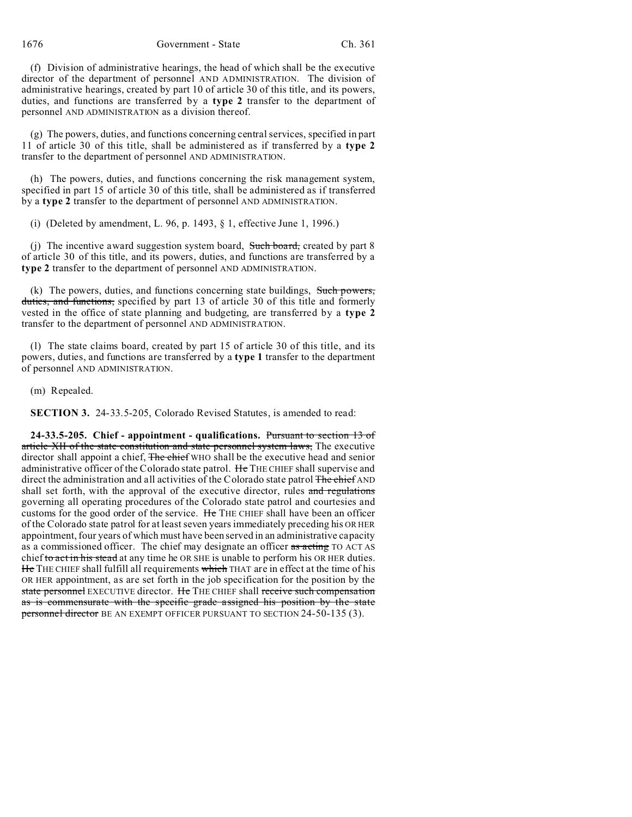1676 Government - State Ch. 361

(f) Division of administrative hearings, the head of which shall be the executive director of the department of personnel AND ADMINISTRATION. The division of administrative hearings, created by part 10 of article 30 of this title, and its powers, duties, and functions are transferred by a **type 2** transfer to the department of personnel AND ADMINISTRATION as a division thereof.

(g) The powers, duties, and functions concerning central services, specified in part 11 of article 30 of this title, shall be administered as if transferred by a **type 2** transfer to the department of personnel AND ADMINISTRATION.

(h) The powers, duties, and functions concerning the risk management system, specified in part 15 of article 30 of this title, shall be administered as if transferred by a **type 2** transfer to the department of personnel AND ADMINISTRATION.

(i) (Deleted by amendment, L. 96, p. 1493, § 1, effective June 1, 1996.)

(j) The incentive award suggestion system board, Such board, created by part 8 of article 30 of this title, and its powers, duties, and functions are transferred by a **type 2** transfer to the department of personnel AND ADMINISTRATION.

(k) The powers, duties, and functions concerning state buildings, Such powers, duties, and functions, specified by part 13 of article 30 of this title and formerly vested in the office of state planning and budgeting, are transferred by a **type 2** transfer to the department of personnel AND ADMINISTRATION.

(l) The state claims board, created by part 15 of article 30 of this title, and its powers, duties, and functions are transferred by a **type 1** transfer to the department of personnel AND ADMINISTRATION.

(m) Repealed.

**SECTION 3.** 24-33.5-205, Colorado Revised Statutes, is amended to read:

**24-33.5-205. Chief - appointment - qualifications.** Pursuant to section 13 of article XII of the state constitution and state personnel system laws, The executive director shall appoint a chief, The chief WHO shall be the executive head and senior administrative officer of the Colorado state patrol. He THE CHIEF shall supervise and direct the administration and all activities of the Colorado state patrol The chief AND shall set forth, with the approval of the executive director, rules and regulations governing all operating procedures of the Colorado state patrol and courtesies and customs for the good order of the service. He THE CHIEF shall have been an officer of the Colorado state patrol for at least seven years immediately preceding his OR HER appointment, four years of which must have been served in an administrative capacity as a commissioned officer. The chief may designate an officer as acting TO ACT AS chief to act in his stead at any time he OR SHE is unable to perform his OR HER duties. He THE CHIEF shall fulfill all requirements which THAT are in effect at the time of his OR HER appointment, as are set forth in the job specification for the position by the state personnel EXECUTIVE director. He THE CHIEF shall receive such compensation as is commensurate with the specific grade assigned his position by the state personnel director BE AN EXEMPT OFFICER PURSUANT TO SECTION 24-50-135 (3).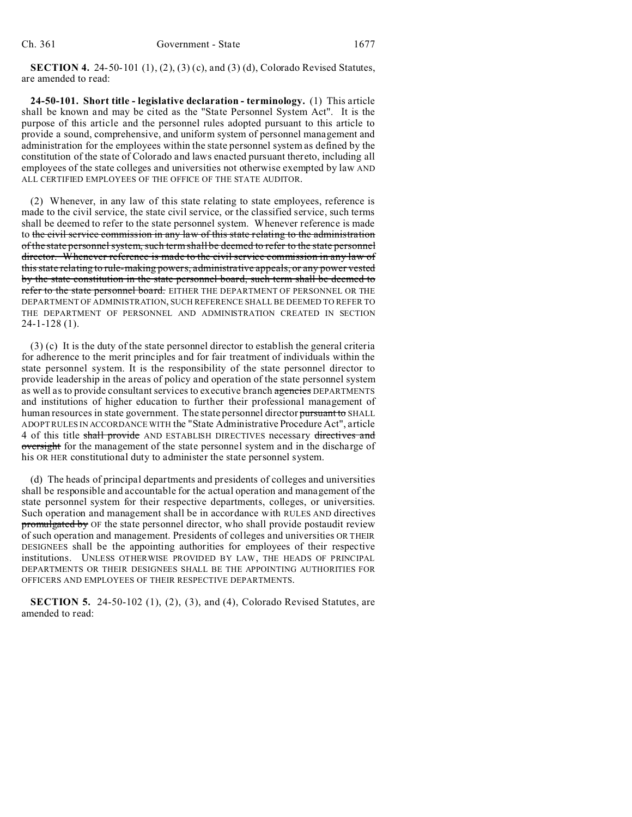**SECTION 4.** 24-50-101 (1), (2), (3) (c), and (3) (d), Colorado Revised Statutes, are amended to read:

**24-50-101. Short title - legislative declaration - terminology.** (1) This article shall be known and may be cited as the "State Personnel System Act". It is the purpose of this article and the personnel rules adopted pursuant to this article to provide a sound, comprehensive, and uniform system of personnel management and administration for the employees within the state personnel system as defined by the constitution of the state of Colorado and laws enacted pursuant thereto, including all employees of the state colleges and universities not otherwise exempted by law AND ALL CERTIFIED EMPLOYEES OF THE OFFICE OF THE STATE AUDITOR.

(2) Whenever, in any law of this state relating to state employees, reference is made to the civil service, the state civil service, or the classified service, such terms shall be deemed to refer to the state personnel system. Whenever reference is made to the civil service commission in any law of this state relating to the administration of the state personnel system, such term shall be deemed to refer to the state personnel director. Whenever reference is made to the civil service commission in any law of this state relating to rule-making powers, administrative appeals, or any power vested by the state constitution in the state personnel board, such term shall be deemed to refer to the state personnel board. EITHER THE DEPARTMENT OF PERSONNEL OR THE DEPARTMENT OF ADMINISTRATION, SUCH REFERENCE SHALL BE DEEMED TO REFER TO THE DEPARTMENT OF PERSONNEL AND ADMINISTRATION CREATED IN SECTION 24-1-128 (1).

(3) (c) It is the duty of the state personnel director to establish the general criteria for adherence to the merit principles and for fair treatment of individuals within the state personnel system. It is the responsibility of the state personnel director to provide leadership in the areas of policy and operation of the state personnel system as well as to provide consultant services to executive branch agencies DEPARTMENTS and institutions of higher education to further their professional management of human resources in state government. The state personnel director pursuant to SHALL ADOPT RULES IN ACCORDANCE WITH the "State Administrative Procedure Act", article 4 of this title shall provide AND ESTABLISH DIRECTIVES necessary directives and oversight for the management of the state personnel system and in the discharge of his OR HER constitutional duty to administer the state personnel system.

(d) The heads of principal departments and presidents of colleges and universities shall be responsible and accountable for the actual operation and management of the state personnel system for their respective departments, colleges, or universities. Such operation and management shall be in accordance with RULES AND directives promulgated by OF the state personnel director, who shall provide postaudit review of such operation and management. Presidents of colleges and universities OR THEIR DESIGNEES shall be the appointing authorities for employees of their respective institutions. UNLESS OTHERWISE PROVIDED BY LAW, THE HEADS OF PRINCIPAL DEPARTMENTS OR THEIR DESIGNEES SHALL BE THE APPOINTING AUTHORITIES FOR OFFICERS AND EMPLOYEES OF THEIR RESPECTIVE DEPARTMENTS.

**SECTION 5.** 24-50-102 (1), (2), (3), and (4), Colorado Revised Statutes, are amended to read: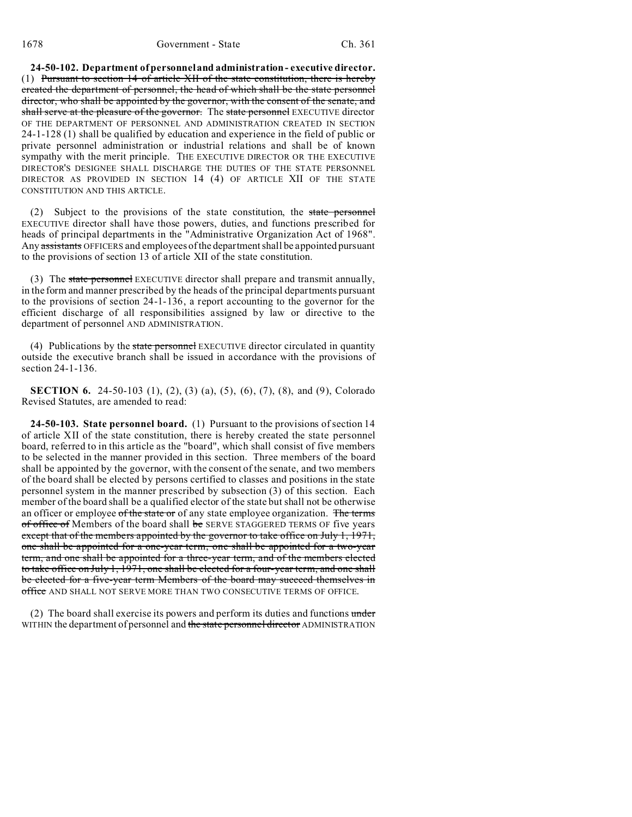**24-50-102. Department of personnel and administration - executive director.** (1) Pursuant to section 14 of article XII of the state constitution, there is hereby created the department of personnel, the head of which shall be the state personnel director, who shall be appointed by the governor, with the consent of the senate, and shall serve at the pleasure of the governor. The state personnel EXECUTIVE director OF THE DEPARTMENT OF PERSONNEL AND ADMINISTRATION CREATED IN SECTION 24-1-128 (1) shall be qualified by education and experience in the field of public or private personnel administration or industrial relations and shall be of known sympathy with the merit principle. THE EXECUTIVE DIRECTOR OR THE EXECUTIVE DIRECTOR'S DESIGNEE SHALL DISCHARGE THE DUTIES OF THE STATE PERSONNEL DIRECTOR AS PROVIDED IN SECTION 14 (4) OF ARTICLE XII OF THE STATE CONSTITUTION AND THIS ARTICLE.

(2) Subject to the provisions of the state constitution, the state personnel EXECUTIVE director shall have those powers, duties, and functions prescribed for heads of principal departments in the "Administrative Organization Act of 1968". Any assistants OFFICERS and employees of the department shall be appointed pursuant to the provisions of section 13 of article XII of the state constitution.

(3) The state personnel EXECUTIVE director shall prepare and transmit annually, in the form and manner prescribed by the heads of the principal departments pursuant to the provisions of section 24-1-136, a report accounting to the governor for the efficient discharge of all responsibilities assigned by law or directive to the department of personnel AND ADMINISTRATION.

(4) Publications by the state personnel EXECUTIVE director circulated in quantity outside the executive branch shall be issued in accordance with the provisions of section 24-1-136.

**SECTION 6.** 24-50-103 (1), (2), (3) (a), (5), (6), (7), (8), and (9), Colorado Revised Statutes, are amended to read:

**24-50-103. State personnel board.** (1) Pursuant to the provisions of section 14 of article XII of the state constitution, there is hereby created the state personnel board, referred to in this article as the "board", which shall consist of five members to be selected in the manner provided in this section. Three members of the board shall be appointed by the governor, with the consent of the senate, and two members of the board shall be elected by persons certified to classes and positions in the state personnel system in the manner prescribed by subsection (3) of this section. Each member of the board shall be a qualified elector of the state but shall not be otherwise an officer or employee of the state or of any state employee organization. The terms of office of Members of the board shall be SERVE STAGGERED TERMS OF five years except that of the members appointed by the governor to take office on July 1, 1971, one shall be appointed for a one-year term, one shall be appointed for a two-year term, and one shall be appointed for a three-year term, and of the members elected to take office on July 1, 1971, one shall be elected for a four-year term, and one shall be elected for a five-year term Members of the board may succeed themselves in office AND SHALL NOT SERVE MORE THAN TWO CONSECUTIVE TERMS OF OFFICE.

(2) The board shall exercise its powers and perform its duties and functions under WITHIN the department of personnel and the state personnel director ADMINISTRATION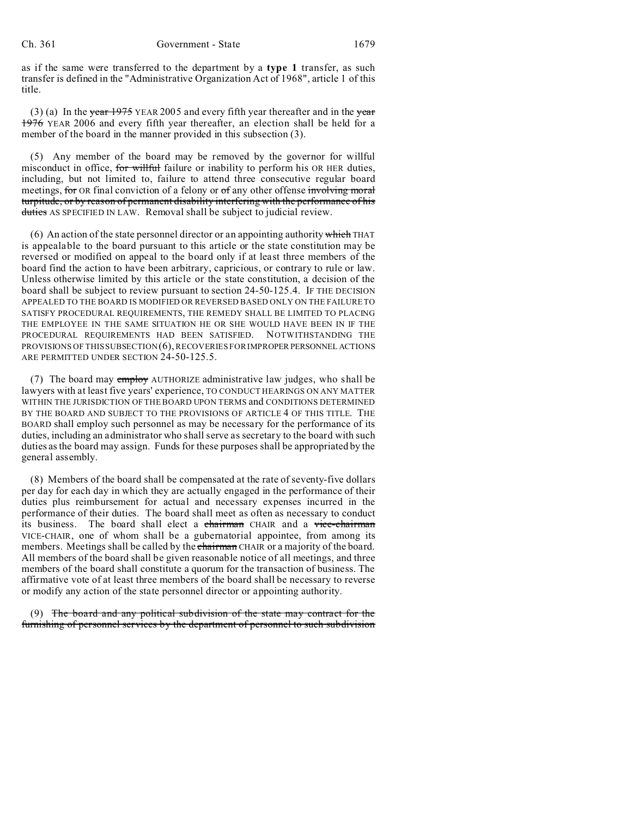as if the same were transferred to the department by a **type 1** transfer, as such transfer is defined in the "Administrative Organization Act of 1968", article 1 of this title.

(3) (a) In the year  $1975$  YEAR 2005 and every fifth year thereafter and in the year 1976 YEAR 2006 and every fifth year thereafter, an election shall be held for a member of the board in the manner provided in this subsection (3).

(5) Any member of the board may be removed by the governor for willful misconduct in office, for willful failure or inability to perform his OR HER duties, including, but not limited to, failure to attend three consecutive regular board meetings, for OR final conviction of a felony or of any other offense involving moral turpitude, or by reason of permanent disability interfering with the performance of his duties AS SPECIFIED IN LAW. Removal shall be subject to judicial review.

(6) An action of the state personnel director or an appointing authority which THAT is appealable to the board pursuant to this article or the state constitution may be reversed or modified on appeal to the board only if at least three members of the board find the action to have been arbitrary, capricious, or contrary to rule or law. Unless otherwise limited by this article or the state constitution, a decision of the board shall be subject to review pursuant to section 24-50-125.4. IF THE DECISION APPEALED TO THE BOARD IS MODIFIED OR REVERSED BASED ONLY ON THE FAILURE TO SATISFY PROCEDURAL REQUIREMENTS, THE REMEDY SHALL BE LIMITED TO PLACING THE EMPLOYEE IN THE SAME SITUATION HE OR SHE WOULD HAVE BEEN IN IF THE PROCEDURAL REQUIREMENTS HAD BEEN SATISFIED. NOTWITHSTANDING THE PROVISIONS OF THIS SUBSECTION (6), RECOVERIES FOR IMPROPER PERSONNEL ACTIONS ARE PERMITTED UNDER SECTION 24-50-125.5.

(7) The board may employ AUTHORIZE administrative law judges, who shall be lawyers with at least five years' experience, TO CONDUCT HEARINGS ON ANY MATTER WITHIN THE JURISDICTION OF THE BOARD UPON TERMS and CONDITIONS DETERMINED BY THE BOARD AND SUBJECT TO THE PROVISIONS OF ARTICLE 4 OF THIS TITLE. THE BOARD shall employ such personnel as may be necessary for the performance of its duties, including an administrator who shall serve as secretary to the board with such duties as the board may assign. Funds for these purposes shall be appropriated by the general assembly.

(8) Members of the board shall be compensated at the rate of seventy-five dollars per day for each day in which they are actually engaged in the performance of their duties plus reimbursement for actual and necessary expenses incurred in the performance of their duties. The board shall meet as often as necessary to conduct its business. The board shall elect a chairman CHAIR and a vice-chairman VICE-CHAIR, one of whom shall be a gubernatorial appointee, from among its members. Meetings shall be called by the chairman CHAIR or a majority of the board. All members of the board shall be given reasonable notice of all meetings, and three members of the board shall constitute a quorum for the transaction of business. The affirmative vote of at least three members of the board shall be necessary to reverse or modify any action of the state personnel director or appointing authority.

(9) The board and any political subdivision of the state may contract for the furnishing of personnel services by the department of personnel to such subdivision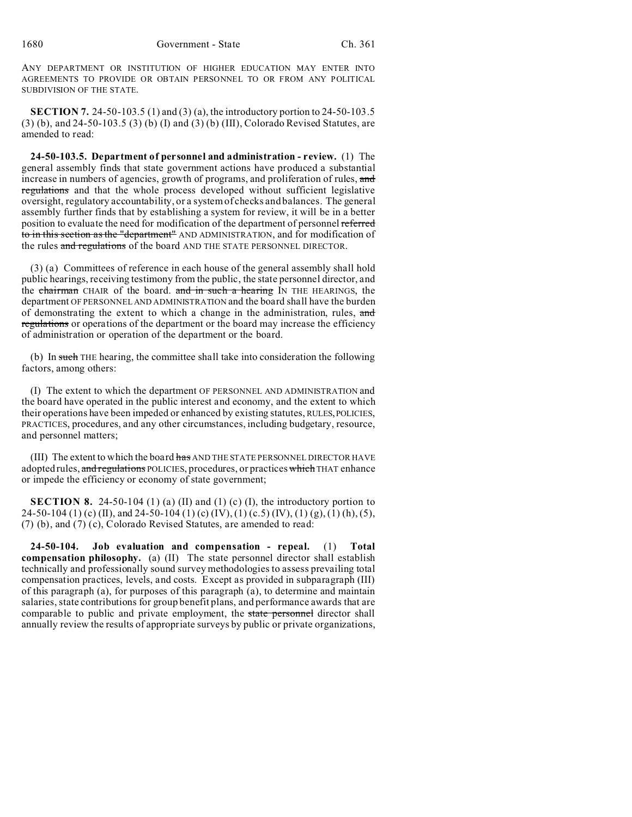ANY DEPARTMENT OR INSTITUTION OF HIGHER EDUCATION MAY ENTER INTO AGREEMENTS TO PROVIDE OR OBTAIN PERSONNEL TO OR FROM ANY POLITICAL SUBDIVISION OF THE STATE.

**SECTION 7.** 24-50-103.5 (1) and (3) (a), the introductory portion to 24-50-103.5 (3) (b), and 24-50-103.5 (3) (b) (I) and (3) (b) (III), Colorado Revised Statutes, are amended to read:

**24-50-103.5. Department of personnel and administration - review.** (1) The general assembly finds that state government actions have produced a substantial increase in numbers of agencies, growth of programs, and proliferation of rules, and regulations and that the whole process developed without sufficient legislative oversight, regulatory accountability, or a system of checks and balances. The general assembly further finds that by establishing a system for review, it will be in a better position to evaluate the need for modification of the department of personnel referred to in this section as the "department" AND ADMINISTRATION, and for modification of the rules and regulations of the board AND THE STATE PERSONNEL DIRECTOR.

(3) (a) Committees of reference in each house of the general assembly shall hold public hearings, receiving testimony from the public, the state personnel director, and the chairman CHAIR of the board. and in such a hearing IN THE HEARINGS, the department OF PERSONNEL AND ADMINISTRATION and the board shall have the burden of demonstrating the extent to which a change in the administration, rules, and regulations or operations of the department or the board may increase the efficiency of administration or operation of the department or the board.

(b) In such THE hearing, the committee shall take into consideration the following factors, among others:

(I) The extent to which the department OF PERSONNEL AND ADMINISTRATION and the board have operated in the public interest and economy, and the extent to which their operations have been impeded or enhanced by existing statutes, RULES, POLICIES, PRACTICES, procedures, and any other circumstances, including budgetary, resource, and personnel matters;

(III) The extent to which the board has AND THE STATE PERSONNEL DIRECTOR HAVE adopted rules, and regulations POLICIES, procedures, or practices which THAT enhance or impede the efficiency or economy of state government;

**SECTION 8.** 24-50-104 (1) (a) (II) and (1) (c) (I), the introductory portion to 24-50-104 (1) (c) (II), and 24-50-104 (1) (c) (IV), (1) (c.5) (IV), (1) (g), (1) (h), (5), (7) (b), and (7) (c), Colorado Revised Statutes, are amended to read:

**24-50-104. Job evaluation and compensation - repeal.** (1) **Total compensation philosophy.** (a) (II) The state personnel director shall establish technically and professionally sound survey methodologies to assess prevailing total compensation practices, levels, and costs. Except as provided in subparagraph (III) of this paragraph (a), for purposes of this paragraph (a), to determine and maintain salaries, state contributions for group benefit plans, and performance awards that are comparable to public and private employment, the state personnel director shall annually review the results of appropriate surveys by public or private organizations,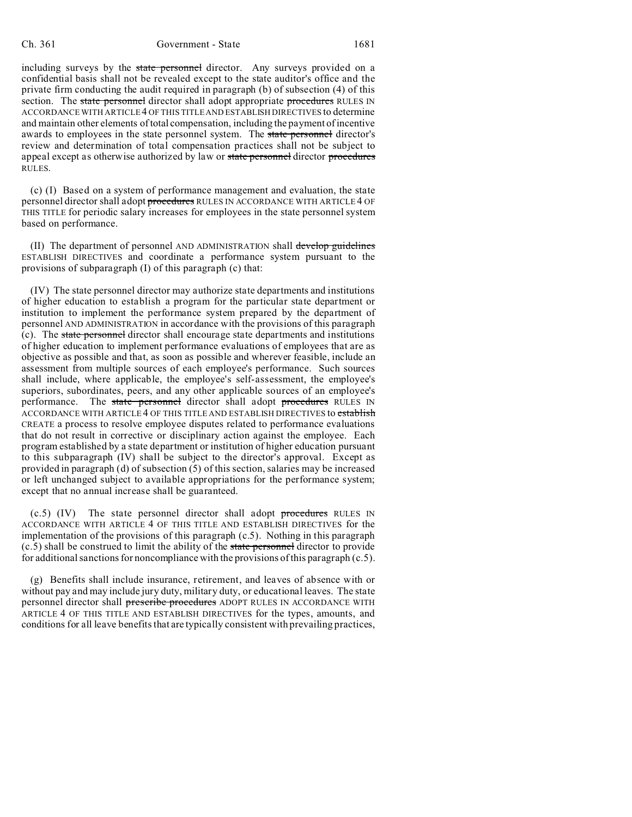including surveys by the state personnel director. Any surveys provided on a confidential basis shall not be revealed except to the state auditor's office and the private firm conducting the audit required in paragraph (b) of subsection (4) of this section. The state personnel director shall adopt appropriate procedures RULES IN ACCORDANCE WITH ARTICLE 4 OF THIS TITLE AND ESTABLISH DIRECTIVES to determine and maintain other elements of total compensation, including the payment of incentive awards to employees in the state personnel system. The state personnel director's review and determination of total compensation practices shall not be subject to appeal except as otherwise authorized by law or state personnel director procedures RULES.

(c) (I) Based on a system of performance management and evaluation, the state personnel director shall adopt procedures RULES IN ACCORDANCE WITH ARTICLE 4 OF THIS TITLE for periodic salary increases for employees in the state personnel system based on performance.

(II) The department of personnel AND ADMINISTRATION shall develop guidelines ESTABLISH DIRECTIVES and coordinate a performance system pursuant to the provisions of subparagraph (I) of this paragraph (c) that:

(IV) The state personnel director may authorize state departments and institutions of higher education to establish a program for the particular state department or institution to implement the performance system prepared by the department of personnel AND ADMINISTRATION in accordance with the provisions of this paragraph (c). The state personnel director shall encourage state departments and institutions of higher education to implement performance evaluations of employees that are as objective as possible and that, as soon as possible and wherever feasible, include an assessment from multiple sources of each employee's performance. Such sources shall include, where applicable, the employee's self-assessment, the employee's superiors, subordinates, peers, and any other applicable sources of an employee's performance. The state personnel director shall adopt procedures RULES IN ACCORDANCE WITH ARTICLE 4 OF THIS TITLE AND ESTABLISH DIRECTIVES to establish CREATE a process to resolve employee disputes related to performance evaluations that do not result in corrective or disciplinary action against the employee. Each program established by a state department or institution of higher education pursuant to this subparagraph (IV) shall be subject to the director's approval. Except as provided in paragraph (d) of subsection (5) of this section, salaries may be increased or left unchanged subject to available appropriations for the performance system; except that no annual increase shall be guaranteed.

 $(c.5)$  (IV) The state personnel director shall adopt procedures RULES IN ACCORDANCE WITH ARTICLE 4 OF THIS TITLE AND ESTABLISH DIRECTIVES for the implementation of the provisions of this paragraph (c.5). Nothing in this paragraph  $(c.5)$  shall be construed to limit the ability of the state personnel director to provide for additional sanctions for noncompliance with the provisions of this paragraph (c.5).

(g) Benefits shall include insurance, retirement, and leaves of absence with or without pay and may include jury duty, military duty, or educational leaves. The state personnel director shall prescribe procedures ADOPT RULES IN ACCORDANCE WITH ARTICLE 4 OF THIS TITLE AND ESTABLISH DIRECTIVES for the types, amounts, and conditions for all leave benefits that are typically consistent with prevailing practices,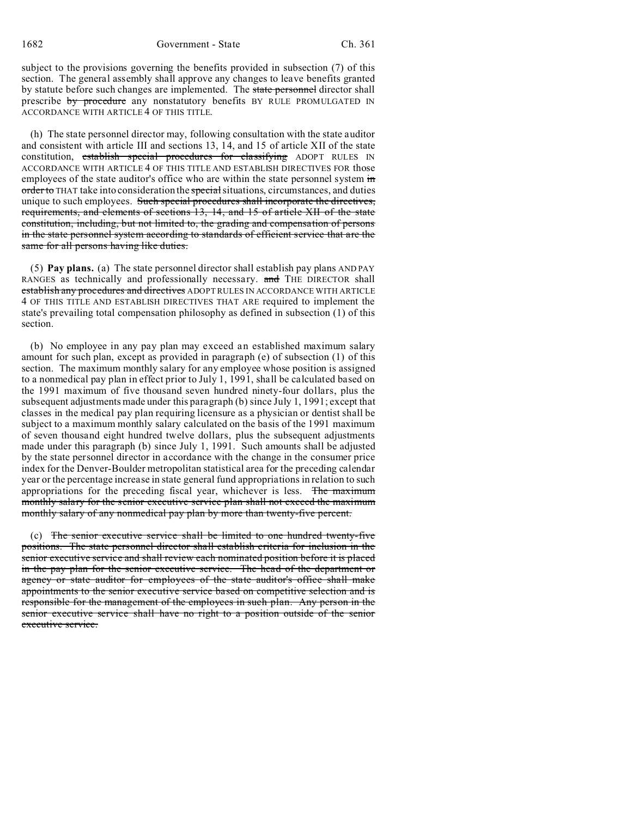subject to the provisions governing the benefits provided in subsection (7) of this section. The general assembly shall approve any changes to leave benefits granted by statute before such changes are implemented. The state personnel director shall prescribe by procedure any nonstatutory benefits BY RULE PROMULGATED IN ACCORDANCE WITH ARTICLE 4 OF THIS TITLE.

(h) The state personnel director may, following consultation with the state auditor and consistent with article III and sections 13, 14, and 15 of article XII of the state constitution, establish special procedures for classifying ADOPT RULES IN ACCORDANCE WITH ARTICLE 4 OF THIS TITLE AND ESTABLISH DIRECTIVES FOR those employees of the state auditor's office who are within the state personnel system in order to THAT take into consideration the special situations, circumstances, and duties unique to such employees. Such special procedures shall incorporate the directives, requirements, and elements of sections 13, 14, and 15 of article XII of the state constitution, including, but not limited to, the grading and compensation of persons in the state personnel system according to standards of efficient service that are the same for all persons having like duties.

(5) **Pay plans.** (a) The state personnel director shall establish pay plans AND PAY RANGES as technically and professionally necessary. and THE DIRECTOR shall establish any procedures and directives ADOPT RULES IN ACCORDANCE WITH ARTICLE 4 OF THIS TITLE AND ESTABLISH DIRECTIVES THAT ARE required to implement the state's prevailing total compensation philosophy as defined in subsection (1) of this section.

(b) No employee in any pay plan may exceed an established maximum salary amount for such plan, except as provided in paragraph (e) of subsection (1) of this section. The maximum monthly salary for any employee whose position is assigned to a nonmedical pay plan in effect prior to July 1, 1991, shall be calculated based on the 1991 maximum of five thousand seven hundred ninety-four dollars, plus the subsequent adjustments made under this paragraph (b) since July 1, 1991; except that classes in the medical pay plan requiring licensure as a physician or dentist shall be subject to a maximum monthly salary calculated on the basis of the 1991 maximum of seven thousand eight hundred twelve dollars, plus the subsequent adjustments made under this paragraph (b) since July 1, 1991. Such amounts shall be adjusted by the state personnel director in accordance with the change in the consumer price index for the Denver-Boulder metropolitan statistical area for the preceding calendar year or the percentage increase in state general fund appropriations in relation to such appropriations for the preceding fiscal year, whichever is less. The maximum monthly salary for the senior executive service plan shall not exceed the maximum monthly salary of any nonmedical pay plan by more than twenty-five percent.

(c) The senior executive service shall be limited to one hundred twenty-five positions. The state personnel director shall establish criteria for inclusion in the senior executive service and shall review each nominated position before it is placed in the pay plan for the senior executive service. The head of the department or agency or state auditor for employees of the state auditor's office shall make appointments to the senior executive service based on competitive selection and is responsible for the management of the employees in such plan. Any person in the senior executive service shall have no right to a position outside of the senior executive service.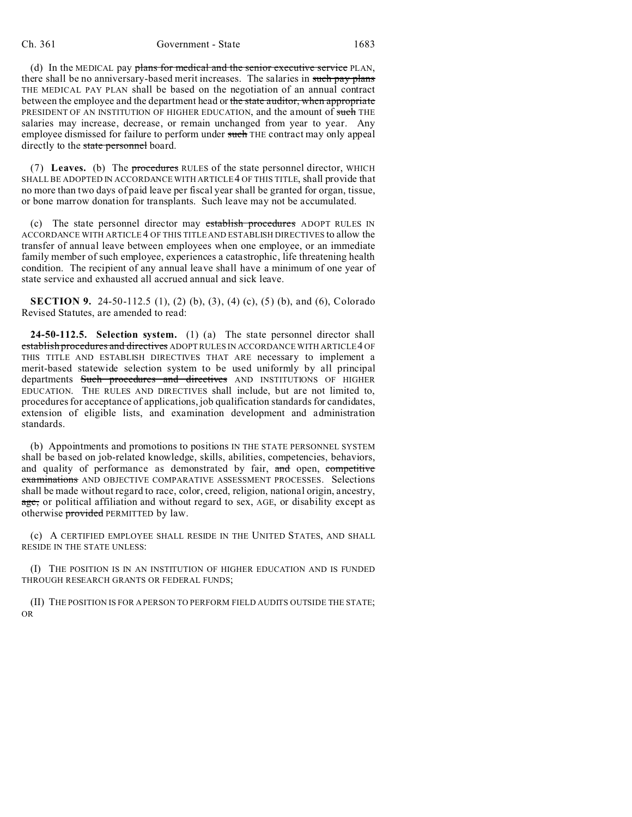(d) In the MEDICAL pay plans for medical and the senior executive service PLAN, there shall be no anniversary-based merit increases. The salaries in such pay plans THE MEDICAL PAY PLAN shall be based on the negotiation of an annual contract between the employee and the department head or the state auditor, when appropriate PRESIDENT OF AN INSTITUTION OF HIGHER EDUCATION, and the amount of such THE salaries may increase, decrease, or remain unchanged from year to year. Any employee dismissed for failure to perform under such THE contract may only appeal directly to the state personnel board.

(7) **Leaves.** (b) The procedures RULES of the state personnel director, WHICH SHALL BE ADOPTED IN ACCORDANCE WITH ARTICLE 4 OF THIS TITLE, shall provide that no more than two days of paid leave per fiscal year shall be granted for organ, tissue, or bone marrow donation for transplants. Such leave may not be accumulated.

(c) The state personnel director may establish procedures ADOPT RULES IN ACCORDANCE WITH ARTICLE 4 OF THIS TITLE AND ESTABLISH DIRECTIVES to allow the transfer of annual leave between employees when one employee, or an immediate family member of such employee, experiences a catastrophic, life threatening health condition. The recipient of any annual leave shall have a minimum of one year of state service and exhausted all accrued annual and sick leave.

**SECTION 9.** 24-50-112.5 (1), (2) (b), (3), (4) (c), (5) (b), and (6), Colorado Revised Statutes, are amended to read:

**24-50-112.5. Selection system.** (1) (a) The state personnel director shall establish procedures and directives ADOPT RULES IN ACCORDANCE WITH ARTICLE 4 OF THIS TITLE AND ESTABLISH DIRECTIVES THAT ARE necessary to implement a merit-based statewide selection system to be used uniformly by all principal departments Such procedures and directives AND INSTITUTIONS OF HIGHER EDUCATION. THE RULES AND DIRECTIVES shall include, but are not limited to, procedures for acceptance of applications, job qualification standards for candidates, extension of eligible lists, and examination development and administration standards.

(b) Appointments and promotions to positions IN THE STATE PERSONNEL SYSTEM shall be based on job-related knowledge, skills, abilities, competencies, behaviors, and quality of performance as demonstrated by fair, and open, competitive examinations AND OBJECTIVE COMPARATIVE ASSESSMENT PROCESSES. Selections shall be made without regard to race, color, creed, religion, national origin, ancestry, age, or political affiliation and without regard to sex, AGE, or disability except as otherwise **provided** PERMITTED by law.

(c) A CERTIFIED EMPLOYEE SHALL RESIDE IN THE UNITED STATES, AND SHALL RESIDE IN THE STATE UNLESS:

(I) THE POSITION IS IN AN INSTITUTION OF HIGHER EDUCATION AND IS FUNDED THROUGH RESEARCH GRANTS OR FEDERAL FUNDS;

(II) THE POSITION IS FOR A PERSON TO PERFORM FIELD AUDITS OUTSIDE THE STATE; OR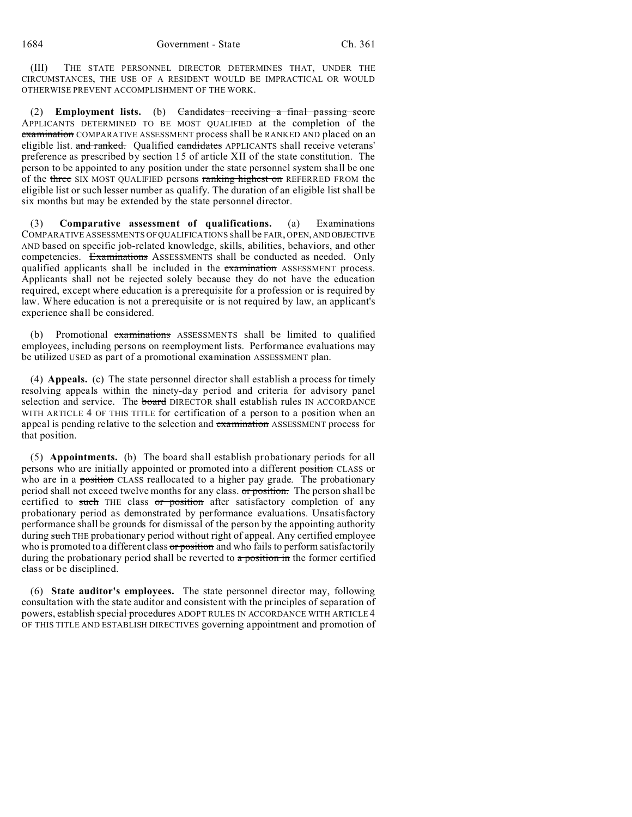(III) THE STATE PERSONNEL DIRECTOR DETERMINES THAT, UNDER THE CIRCUMSTANCES, THE USE OF A RESIDENT WOULD BE IMPRACTICAL OR WOULD OTHERWISE PREVENT ACCOMPLISHMENT OF THE WORK.

(2) **Employment lists.** (b) Candidates receiving a final passing score APPLICANTS DETERMINED TO BE MOST QUALIFIED at the completion of the examination COMPARATIVE ASSESSMENT process shall be RANKED AND placed on an eligible list. and ranked. Qualified candidates APPLICANTS shall receive veterans' preference as prescribed by section 15 of article XII of the state constitution. The person to be appointed to any position under the state personnel system shall be one of the three SIX MOST QUALIFIED persons ranking highest on REFERRED FROM the eligible list or such lesser number as qualify. The duration of an eligible list shall be six months but may be extended by the state personnel director.

(3) **Comparative assessment of qualifications.** (a) Examinations COMPARATIVE ASSESSMENTS OF QUALIFICATIONS shall be FAIR, OPEN,ANDOBJECTIVE AND based on specific job-related knowledge, skills, abilities, behaviors, and other competencies. Examinations ASSESSMENTS shall be conducted as needed. Only qualified applicants shall be included in the examination ASSESSMENT process. Applicants shall not be rejected solely because they do not have the education required, except where education is a prerequisite for a profession or is required by law. Where education is not a prerequisite or is not required by law, an applicant's experience shall be considered.

Promotional examinations ASSESSMENTS shall be limited to qualified employees, including persons on reemployment lists. Performance evaluations may be utilized USED as part of a promotional examination ASSESSMENT plan.

(4) **Appeals.** (c) The state personnel director shall establish a process for timely resolving appeals within the ninety-day period and criteria for advisory panel selection and service. The **board** DIRECTOR shall establish rules IN ACCORDANCE WITH ARTICLE 4 OF THIS TITLE for certification of a person to a position when an appeal is pending relative to the selection and examination ASSESSMENT process for that position.

(5) **Appointments.** (b) The board shall establish probationary periods for all persons who are initially appointed or promoted into a different position CLASS or who are in a position CLASS reallocated to a higher pay grade. The probationary period shall not exceed twelve months for any class. or position. The person shall be certified to such THE class or position after satisfactory completion of any probationary period as demonstrated by performance evaluations. Unsatisfactory performance shall be grounds for dismissal of the person by the appointing authority during such THE probationary period without right of appeal. Any certified employee who is promoted to a different class or position and who fails to perform satisfactorily during the probationary period shall be reverted to  $\alpha$  position in the former certified class or be disciplined.

(6) **State auditor's employees.** The state personnel director may, following consultation with the state auditor and consistent with the principles of separation of powers, establish special procedures ADOPT RULES IN ACCORDANCE WITH ARTICLE 4 OF THIS TITLE AND ESTABLISH DIRECTIVES governing appointment and promotion of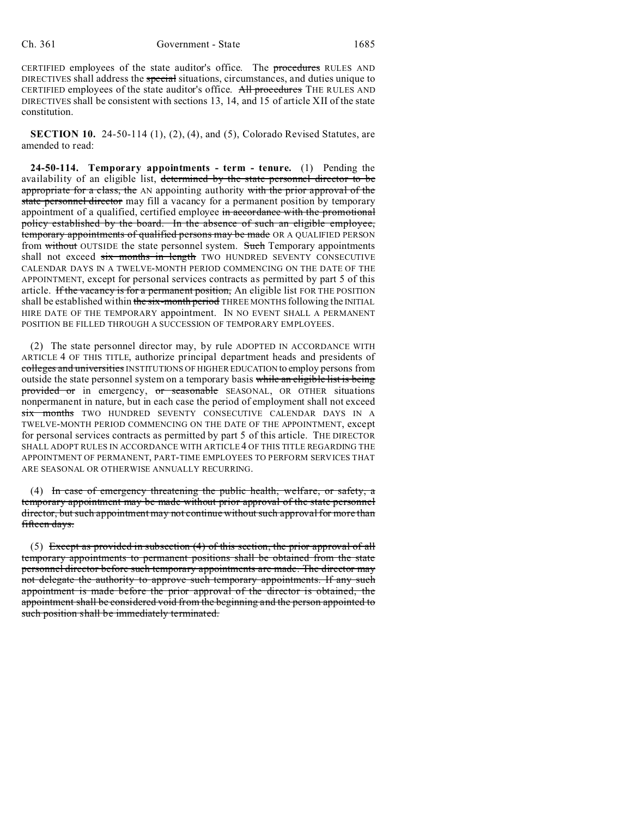CERTIFIED employees of the state auditor's office. The procedures RULES AND DIRECTIVES shall address the special situations, circumstances, and duties unique to CERTIFIED employees of the state auditor's office. All procedures THE RULES AND DIRECTIVES shall be consistent with sections 13, 14, and 15 of article XII of the state constitution.

**SECTION 10.** 24-50-114 (1), (2), (4), and (5), Colorado Revised Statutes, are amended to read:

**24-50-114. Temporary appointments - term - tenure.** (1) Pending the availability of an eligible list, determined by the state personnel director to be appropriate for a class, the AN appointing authority with the prior approval of the state personnel director may fill a vacancy for a permanent position by temporary appointment of a qualified, certified employee in accordance with the promotional policy established by the board. In the absence of such an eligible employee, temporary appointments of qualified persons may be made OR A QUALIFIED PERSON from without OUTSIDE the state personnel system. Such Temporary appointments shall not exceed six months in length TWO HUNDRED SEVENTY CONSECUTIVE CALENDAR DAYS IN A TWELVE-MONTH PERIOD COMMENCING ON THE DATE OF THE APPOINTMENT, except for personal services contracts as permitted by part 5 of this article. If the vacancy is for a permanent position, An eligible list FOR THE POSITION shall be established within the six-month period THREE MONTHS following the INITIAL HIRE DATE OF THE TEMPORARY appointment. IN NO EVENT SHALL A PERMANENT POSITION BE FILLED THROUGH A SUCCESSION OF TEMPORARY EMPLOYEES.

(2) The state personnel director may, by rule ADOPTED IN ACCORDANCE WITH ARTICLE 4 OF THIS TITLE, authorize principal department heads and presidents of colleges and universities INSTITUTIONS OF HIGHER EDUCATION to employ persons from outside the state personnel system on a temporary basis while an eligible list is being provided or in emergency, or seasonable SEASONAL, OR OTHER situations nonpermanent in nature, but in each case the period of employment shall not exceed six months TWO HUNDRED SEVENTY CONSECUTIVE CALENDAR DAYS IN A TWELVE-MONTH PERIOD COMMENCING ON THE DATE OF THE APPOINTMENT, except for personal services contracts as permitted by part 5 of this article. THE DIRECTOR SHALL ADOPT RULES IN ACCORDANCE WITH ARTICLE 4 OF THIS TITLE REGARDING THE APPOINTMENT OF PERMANENT, PART-TIME EMPLOYEES TO PERFORM SERVICES THAT ARE SEASONAL OR OTHERWISE ANNUALLY RECURRING.

(4) In case of emergency threatening the public health, welfare, or safety, a temporary appointment may be made without prior approval of the state personnel director, but such appointment may not continue without such approval for more than fifteen days.

(5) Except as provided in subsection (4) of this section, the prior approval of all temporary appointments to permanent positions shall be obtained from the state personnel director before such temporary appointments are made. The director may not delegate the authority to approve such temporary appointments. If any such appointment is made before the prior approval of the director is obtained, the appointment shall be considered void from the beginning and the person appointed to such position shall be immediately terminated.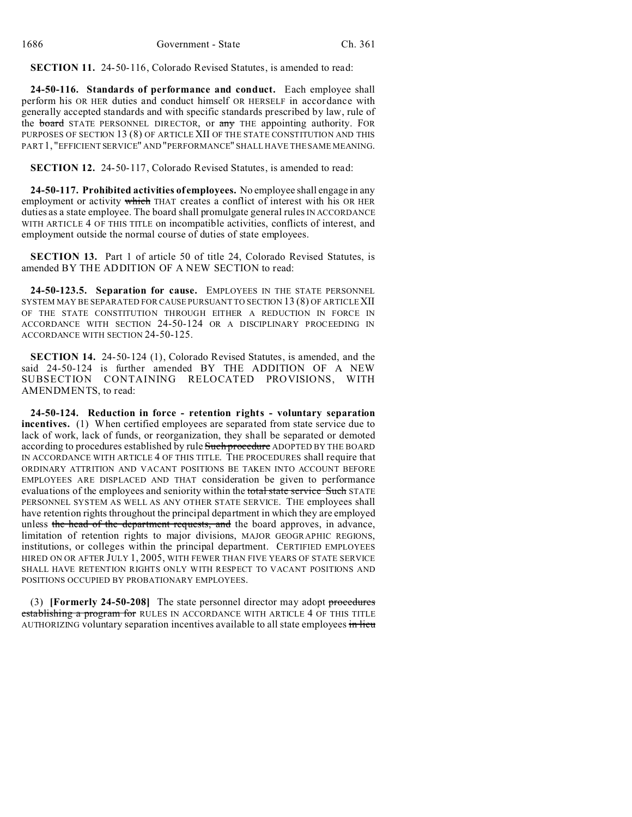**SECTION 11.** 24-50-116, Colorado Revised Statutes, is amended to read:

**24-50-116. Standards of performance and conduct.** Each employee shall perform his OR HER duties and conduct himself OR HERSELF in accordance with generally accepted standards and with specific standards prescribed by law, rule of the board STATE PERSONNEL DIRECTOR, or any THE appointing authority. FOR PURPOSES OF SECTION 13 (8) OF ARTICLE XII OF THE STATE CONSTITUTION AND THIS PART 1, "EFFICIENT SERVICE" AND "PERFORMANCE" SHALL HAVE THE SAME MEANING.

**SECTION 12.** 24-50-117, Colorado Revised Statutes, is amended to read:

**24-50-117. Prohibited activities of employees.** No employee shall engage in any employment or activity which THAT creates a conflict of interest with his OR HER duties as a state employee. The board shall promulgate general rules IN ACCORDANCE WITH ARTICLE 4 OF THIS TITLE on incompatible activities, conflicts of interest, and employment outside the normal course of duties of state employees.

**SECTION 13.** Part 1 of article 50 of title 24, Colorado Revised Statutes, is amended BY THE ADDITION OF A NEW SECTION to read:

**24-50-123.5. Separation for cause.** EMPLOYEES IN THE STATE PERSONNEL SYSTEM MAY BE SEPARATED FOR CAUSE PURSUANT TO SECTION 13 (8) OF ARTICLE XII OF THE STATE CONSTITUTION THROUGH EITHER A REDUCTION IN FORCE IN ACCORDANCE WITH SECTION 24-50-124 OR A DISCIPLINARY PROCEEDING IN ACCORDANCE WITH SECTION 24-50-125.

**SECTION 14.** 24-50-124 (1), Colorado Revised Statutes, is amended, and the said 24-50-124 is further amended BY THE ADDITION OF A NEW SUBSECTION CONTAINING RELOCATED PROVISIONS, WITH AMENDMENTS, to read:

**24-50-124. Reduction in force - retention rights - voluntary separation incentives.** (1) When certified employees are separated from state service due to lack of work, lack of funds, or reorganization, they shall be separated or demoted according to procedures established by rule Such procedure ADOPTED BY THE BOARD IN ACCORDANCE WITH ARTICLE 4 OF THIS TITLE. THE PROCEDURES shall require that ORDINARY ATTRITION AND VACANT POSITIONS BE TAKEN INTO ACCOUNT BEFORE EMPLOYEES ARE DISPLACED AND THAT consideration be given to performance evaluations of the employees and seniority within the total state service Such STATE PERSONNEL SYSTEM AS WELL AS ANY OTHER STATE SERVICE. THE employees shall have retention rights throughout the principal department in which they are employed unless the head of the department requests, and the board approves, in advance, limitation of retention rights to major divisions, MAJOR GEOGRAPHIC REGIONS, institutions, or colleges within the principal department. CERTIFIED EMPLOYEES HIRED ON OR AFTER JULY 1, 2005, WITH FEWER THAN FIVE YEARS OF STATE SERVICE SHALL HAVE RETENTION RIGHTS ONLY WITH RESPECT TO VACANT POSITIONS AND POSITIONS OCCUPIED BY PROBATIONARY EMPLOYEES.

(3) **[Formerly 24-50-208]** The state personnel director may adopt procedures establishing a program for RULES IN ACCORDANCE WITH ARTICLE 4 OF THIS TITLE AUTHORIZING voluntary separation incentives available to all state employees in lieu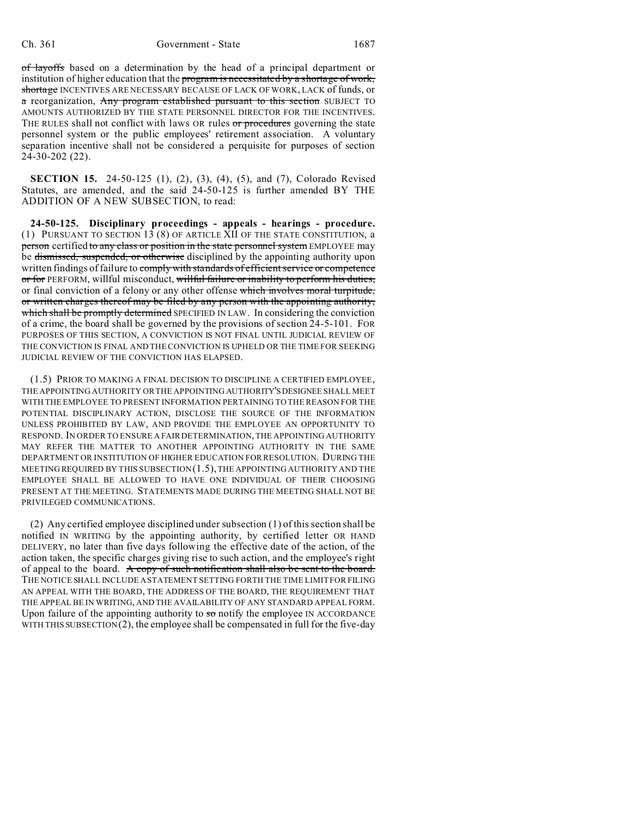of layoffs based on a determination by the head of a principal department or institution of higher education that the program is necessitated by a shortage of work, shortage INCENTIVES ARE NECESSARY BECAUSE OF LACK OF WORK, LACK of funds, or a reorganization, Any program established pursuant to this section SUBJECT TO AMOUNTS AUTHORIZED BY THE STATE PERSONNEL DIRECTOR FOR THE INCENTIVES. THE RULES shall not conflict with laws OR rules or procedures governing the state personnel system or the public employees' retirement association. A voluntary separation incentive shall not be considered a perquisite for purposes of section 24-30-202 (22).

**SECTION 15.** 24-50-125 (1), (2), (3), (4), (5), and (7), Colorado Revised Statutes, are amended, and the said 24-50-125 is further amended BY THE ADDITION OF A NEW SUBSECTION, to read:

**24-50-125. Disciplinary proceedings - appeals - hearings - procedure.** (1) PURSUANT TO SECTION 13 (8) OF ARTICLE XII OF THE STATE CONSTITUTION, a person certified to any class or position in the state personnel system EMPLOYEE may be dismissed, suspended, or otherwise disciplined by the appointing authority upon written findings of failure to comply with standards of efficient service or competence or for PERFORM, willful misconduct, willful failure or inability to perform his duties, or final conviction of a felony or any other offense which involves moral turpitude, or written charges thereof may be filed by any person with the appointing authority, which shall be promptly determined SPECIFIED IN LAW. In considering the conviction of a crime, the board shall be governed by the provisions of section 24-5-101. FOR PURPOSES OF THIS SECTION, A CONVICTION IS NOT FINAL UNTIL JUDICIAL REVIEW OF THE CONVICTION IS FINAL AND THE CONVICTION IS UPHELD OR THE TIME FOR SEEKING JUDICIAL REVIEW OF THE CONVICTION HAS ELAPSED.

(1.5) PRIOR TO MAKING A FINAL DECISION TO DISCIPLINE A CERTIFIED EMPLOYEE, THE APPOINTING AUTHORITY OR THE APPOINTING AUTHORITY'SDESIGNEE SHALL MEET WITH THE EMPLOYEE TO PRESENT INFORMATION PERTAINING TO THE REASON FOR THE POTENTIAL DISCIPLINARY ACTION, DISCLOSE THE SOURCE OF THE INFORMATION UNLESS PROHIBITED BY LAW, AND PROVIDE THE EMPLOYEE AN OPPORTUNITY TO RESPOND. IN ORDER TO ENSURE A FAIR DETERMINATION, THE APPOINTING AUTHORITY MAY REFER THE MATTER TO ANOTHER APPOINTING AUTHORITY IN THE SAME DEPARTMENT OR INSTITUTION OF HIGHER EDUCATION FOR RESOLUTION. DURING THE MEETING REQUIRED BY THIS SUBSECTION  $(1.5)$ , the appointing authority and the EMPLOYEE SHALL BE ALLOWED TO HAVE ONE INDIVIDUAL OF THEIR CHOOSING PRESENT AT THE MEETING. STATEMENTS MADE DURING THE MEETING SHALL NOT BE PRIVILEGED COMMUNICATIONS.

(2) Any certified employee disciplined under subsection (1) of this section shall be notified IN WRITING by the appointing authority, by certified letter OR HAND DELIVERY, no later than five days following the effective date of the action, of the action taken, the specific charges giving rise to such action, and the employee's right of appeal to the board. A copy of such notification shall also be sent to the board. THE NOTICE SHALL INCLUDE A STATEMENT SETTING FORTH THE TIME LIMIT FOR FILING AN APPEAL WITH THE BOARD, THE ADDRESS OF THE BOARD, THE REQUIREMENT THAT THE APPEAL BE IN WRITING, AND THE AVAILABILITY OF ANY STANDARD APPEAL FORM. Upon failure of the appointing authority to  $s\sigma$  notify the employee IN ACCORDANCE WITH THIS SUBSECTION  $(2)$ , the employee shall be compensated in full for the five-day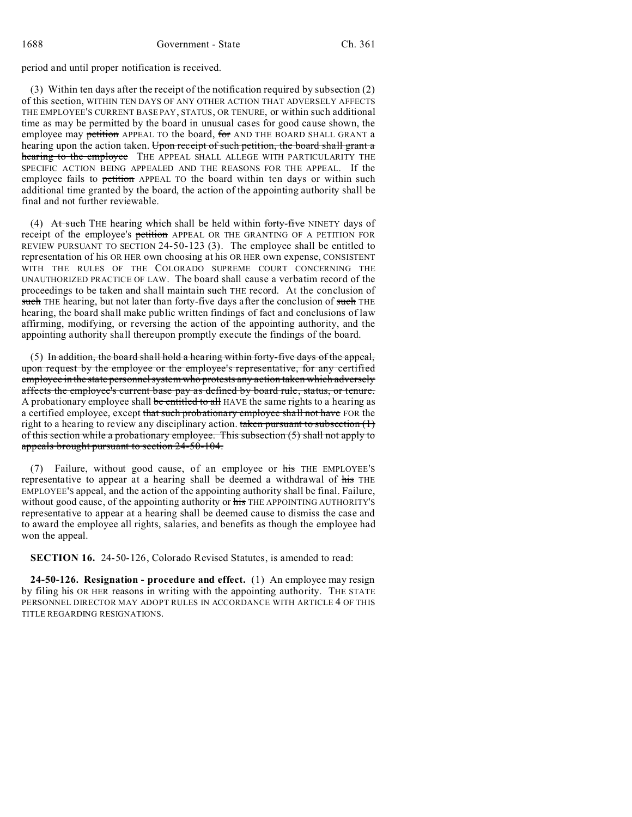period and until proper notification is received.

(3) Within ten days after the receipt of the notification required by subsection (2) of this section, WITHIN TEN DAYS OF ANY OTHER ACTION THAT ADVERSELY AFFECTS THE EMPLOYEE'S CURRENT BASE PAY, STATUS, OR TENURE, or within such additional time as may be permitted by the board in unusual cases for good cause shown, the employee may petition APPEAL TO the board, for AND THE BOARD SHALL GRANT a hearing upon the action taken. Upon receipt of such petition, the board shall grant a hearing to the employee THE APPEAL SHALL ALLEGE WITH PARTICULARITY THE SPECIFIC ACTION BEING APPEALED AND THE REASONS FOR THE APPEAL. If the employee fails to petition APPEAL TO the board within ten days or within such additional time granted by the board, the action of the appointing authority shall be final and not further reviewable.

(4) At such THE hearing which shall be held within forty-five NINETY days of receipt of the employee's petition APPEAL OR THE GRANTING OF A PETITION FOR REVIEW PURSUANT TO SECTION 24-50-123 (3). The employee shall be entitled to representation of his OR HER own choosing at his OR HER own expense, CONSISTENT WITH THE RULES OF THE COLORADO SUPREME COURT CONCERNING THE UNAUTHORIZED PRACTICE OF LAW. The board shall cause a verbatim record of the proceedings to be taken and shall maintain such THE record. At the conclusion of such THE hearing, but not later than forty-five days after the conclusion of such THE hearing, the board shall make public written findings of fact and conclusions of law affirming, modifying, or reversing the action of the appointing authority, and the appointing authority shall thereupon promptly execute the findings of the board.

(5) In addition, the board shall hold a hearing within forty-five days of the appeal, upon request by the employee or the employee's representative, for any certified employee in the state personnel system who protests any action taken which adversely affects the employee's current base pay as defined by board rule, status, or tenure. A probationary employee shall be entitled to all HAVE the same rights to a hearing as a certified employee, except that such probationary employee shall not have FOR the right to a hearing to review any disciplinary action. taken pursuant to subsection  $(1)$ of this section while a probationary employee. This subsection (5) shall not apply to appeals brought pursuant to section 24-50-104.

(7) Failure, without good cause, of an employee or his THE EMPLOYEE'S representative to appear at a hearing shall be deemed a withdrawal of his THE EMPLOYEE'S appeal, and the action of the appointing authority shall be final. Failure, without good cause, of the appointing authority or his THE APPOINTING AUTHORITY'S representative to appear at a hearing shall be deemed cause to dismiss the case and to award the employee all rights, salaries, and benefits as though the employee had won the appeal.

**SECTION 16.** 24-50-126, Colorado Revised Statutes, is amended to read:

**24-50-126. Resignation - procedure and effect.** (1) An employee may resign by filing his OR HER reasons in writing with the appointing authority. THE STATE PERSONNEL DIRECTOR MAY ADOPT RULES IN ACCORDANCE WITH ARTICLE 4 OF THIS TITLE REGARDING RESIGNATIONS.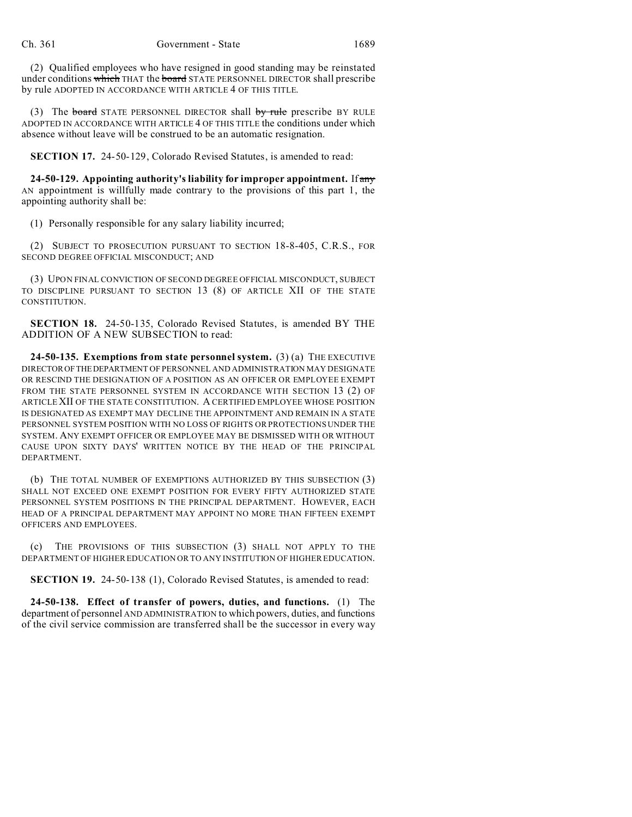(2) Qualified employees who have resigned in good standing may be reinstated under conditions which THAT the board STATE PERSONNEL DIRECTOR shall prescribe by rule ADOPTED IN ACCORDANCE WITH ARTICLE 4 OF THIS TITLE.

(3) The **board** STATE PERSONNEL DIRECTOR shall  $by$  rule prescribe BY RULE ADOPTED IN ACCORDANCE WITH ARTICLE 4 OF THIS TITLE the conditions under which absence without leave will be construed to be an automatic resignation.

**SECTION 17.** 24-50-129, Colorado Revised Statutes, is amended to read:

**24-50-129. Appointing authority's liability for improper appointment.** If any AN appointment is willfully made contrary to the provisions of this part 1, the appointing authority shall be:

(1) Personally responsible for any salary liability incurred;

(2) SUBJECT TO PROSECUTION PURSUANT TO SECTION 18-8-405, C.R.S., FOR SECOND DEGREE OFFICIAL MISCONDUCT; AND

(3) UPON FINAL CONVICTION OF SECOND DEGREE OFFICIAL MISCONDUCT, SUBJECT TO DISCIPLINE PURSUANT TO SECTION 13 (8) OF ARTICLE XII OF THE STATE CONSTITUTION.

**SECTION 18.** 24-50-135, Colorado Revised Statutes, is amended BY THE ADDITION OF A NEW SUBSECTION to read:

**24-50-135. Exemptions from state personnel system.** (3) (a) THE EXECUTIVE DIRECTOROFTHEDEPARTMENT OF PERSONNEL AND ADMINISTRATION MAY DESIGNATE OR RESCIND THE DESIGNATION OF A POSITION AS AN OFFICER OR EMPLOYEE EXEMPT FROM THE STATE PERSONNEL SYSTEM IN ACCORDANCE WITH SECTION 13 (2) OF ARTICLE XII OF THE STATE CONSTITUTION. A CERTIFIED EMPLOYEE WHOSE POSITION IS DESIGNATED AS EXEMPT MAY DECLINE THE APPOINTMENT AND REMAIN IN A STATE PERSONNEL SYSTEM POSITION WITH NO LOSS OF RIGHTS OR PROTECTIONS UNDER THE SYSTEM. ANY EXEMPT OFFICER OR EMPLOYEE MAY BE DISMISSED WITH OR WITHOUT CAUSE UPON SIXTY DAYS' WRITTEN NOTICE BY THE HEAD OF THE PRINCIPAL DEPARTMENT.

(b) THE TOTAL NUMBER OF EXEMPTIONS AUTHORIZED BY THIS SUBSECTION (3) SHALL NOT EXCEED ONE EXEMPT POSITION FOR EVERY FIFTY AUTHORIZED STATE PERSONNEL SYSTEM POSITIONS IN THE PRINCIPAL DEPARTMENT. HOWEVER, EACH HEAD OF A PRINCIPAL DEPARTMENT MAY APPOINT NO MORE THAN FIFTEEN EXEMPT OFFICERS AND EMPLOYEES.

THE PROVISIONS OF THIS SUBSECTION (3) SHALL NOT APPLY TO THE DEPARTMENT OF HIGHER EDUCATION OR TO ANY INSTITUTION OF HIGHER EDUCATION.

**SECTION 19.** 24-50-138 (1), Colorado Revised Statutes, is amended to read:

**24-50-138. Effect of transfer of powers, duties, and functions.** (1) The department of personnel AND ADMINISTRATION to which powers, duties, and functions of the civil service commission are transferred shall be the successor in every way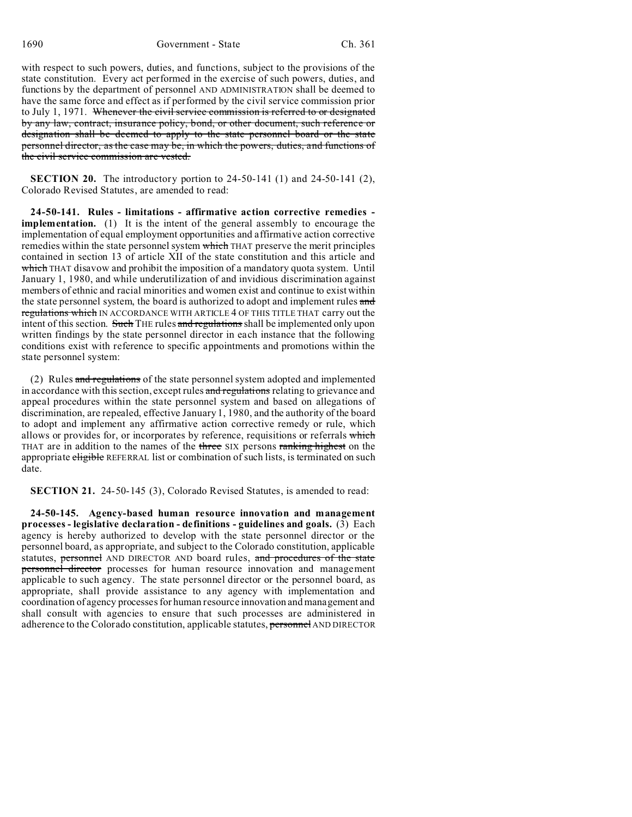with respect to such powers, duties, and functions, subject to the provisions of the state constitution. Every act performed in the exercise of such powers, duties, and functions by the department of personnel AND ADMINISTRATION shall be deemed to have the same force and effect as if performed by the civil service commission prior to July 1, 1971. Whenever the civil service commission is referred to or designated by any law, contract, insurance policy, bond, or other document, such reference or designation shall be deemed to apply to the state personnel board or the state personnel director, as the case may be, in which the powers, duties, and functions of the civil service commission are vested.

**SECTION 20.** The introductory portion to 24-50-141 (1) and 24-50-141 (2), Colorado Revised Statutes, are amended to read:

**24-50-141. Rules - limitations - affirmative action corrective remedies implementation.** (1) It is the intent of the general assembly to encourage the implementation of equal employment opportunities and affirmative action corrective remedies within the state personnel system which THAT preserve the merit principles contained in section 13 of article XII of the state constitution and this article and which THAT disavow and prohibit the imposition of a mandatory quota system. Until January 1, 1980, and while underutilization of and invidious discrimination against members of ethnic and racial minorities and women exist and continue to exist within the state personnel system, the board is authorized to adopt and implement rules and regulations which IN ACCORDANCE WITH ARTICLE 4 OF THIS TITLE THAT carry out the intent of this section. Such THE rules and regulations shall be implemented only upon written findings by the state personnel director in each instance that the following conditions exist with reference to specific appointments and promotions within the state personnel system:

(2) Rules and regulations of the state personnel system adopted and implemented in accordance with this section, except rules and regulations relating to grievance and appeal procedures within the state personnel system and based on allegations of discrimination, are repealed, effective January 1, 1980, and the authority of the board to adopt and implement any affirmative action corrective remedy or rule, which allows or provides for, or incorporates by reference, requisitions or referrals which THAT are in addition to the names of the three SIX persons ranking highest on the appropriate eligible REFERRAL list or combination of such lists, is terminated on such date.

**SECTION 21.** 24-50-145 (3), Colorado Revised Statutes, is amended to read:

**24-50-145. Agency-based human resource innovation and management processes - legislative declaration - definitions - guidelines and goals.** (3) Each agency is hereby authorized to develop with the state personnel director or the personnel board, as appropriate, and subject to the Colorado constitution, applicable statutes, **personnel** AND DIRECTOR AND board rules, and procedures of the state personnel director processes for human resource innovation and management applicable to such agency. The state personnel director or the personnel board, as appropriate, shall provide assistance to any agency with implementation and coordination of agency processes for human resource innovation and management and shall consult with agencies to ensure that such processes are administered in adherence to the Colorado constitution, applicable statutes, personnel AND DIRECTOR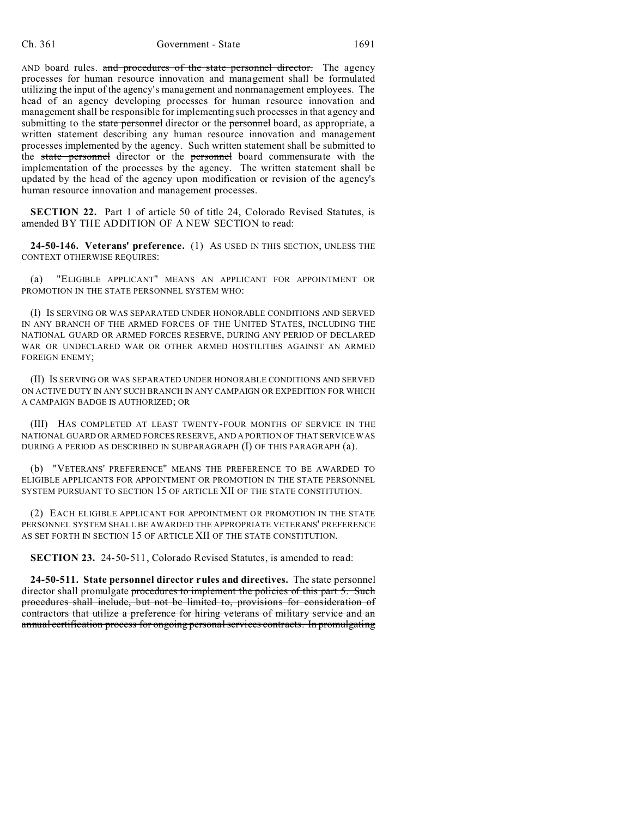AND board rules. and procedures of the state personnel director. The agency processes for human resource innovation and management shall be formulated utilizing the input of the agency's management and nonmanagement employees. The head of an agency developing processes for human resource innovation and management shall be responsible for implementing such processes in that agency and submitting to the state personnel director or the personnel board, as appropriate, a written statement describing any human resource innovation and management processes implemented by the agency. Such written statement shall be submitted to the state personnel director or the personnel board commensurate with the implementation of the processes by the agency. The written statement shall be updated by the head of the agency upon modification or revision of the agency's human resource innovation and management processes.

**SECTION 22.** Part 1 of article 50 of title 24, Colorado Revised Statutes, is amended BY THE ADDITION OF A NEW SECTION to read:

**24-50-146. Veterans' preference.** (1) AS USED IN THIS SECTION, UNLESS THE CONTEXT OTHERWISE REQUIRES:

(a) "ELIGIBLE APPLICANT" MEANS AN APPLICANT FOR APPOINTMENT OR PROMOTION IN THE STATE PERSONNEL SYSTEM WHO:

(I) IS SERVING OR WAS SEPARATED UNDER HONORABLE CONDITIONS AND SERVED IN ANY BRANCH OF THE ARMED FORCES OF THE UNITED STATES, INCLUDING THE NATIONAL GUARD OR ARMED FORCES RESERVE, DURING ANY PERIOD OF DECLARED WAR OR UNDECLARED WAR OR OTHER ARMED HOSTILITIES AGAINST AN ARMED FOREIGN ENEMY;

(II) IS SERVING OR WAS SEPARATED UNDER HONORABLE CONDITIONS AND SERVED ON ACTIVE DUTY IN ANY SUCH BRANCH IN ANY CAMPAIGN OR EXPEDITION FOR WHICH A CAMPAIGN BADGE IS AUTHORIZED; OR

(III) HAS COMPLETED AT LEAST TWENTY-FOUR MONTHS OF SERVICE IN THE NATIONAL GUARD OR ARMED FORCES RESERVE, AND A PORTION OF THAT SERVICE WAS DURING A PERIOD AS DESCRIBED IN SUBPARAGRAPH (I) OF THIS PARAGRAPH (a).

(b) "VETERANS' PREFERENCE" MEANS THE PREFERENCE TO BE AWARDED TO ELIGIBLE APPLICANTS FOR APPOINTMENT OR PROMOTION IN THE STATE PERSONNEL SYSTEM PURSUANT TO SECTION 15 OF ARTICLE XII OF THE STATE CONSTITUTION.

(2) EACH ELIGIBLE APPLICANT FOR APPOINTMENT OR PROMOTION IN THE STATE PERSONNEL SYSTEM SHALL BE AWARDED THE APPROPRIATE VETERANS' PREFERENCE AS SET FORTH IN SECTION 15 OF ARTICLE XII OF THE STATE CONSTITUTION.

**SECTION 23.** 24-50-511, Colorado Revised Statutes, is amended to read:

**24-50-511. State personnel director rules and directives.** The state personnel director shall promulgate procedures to implement the policies of this part 5. Such procedures shall include, but not be limited to, provisions for consideration of contractors that utilize a preference for hiring veterans of military service and an annual certification process for ongoing personal services contracts. In promulgating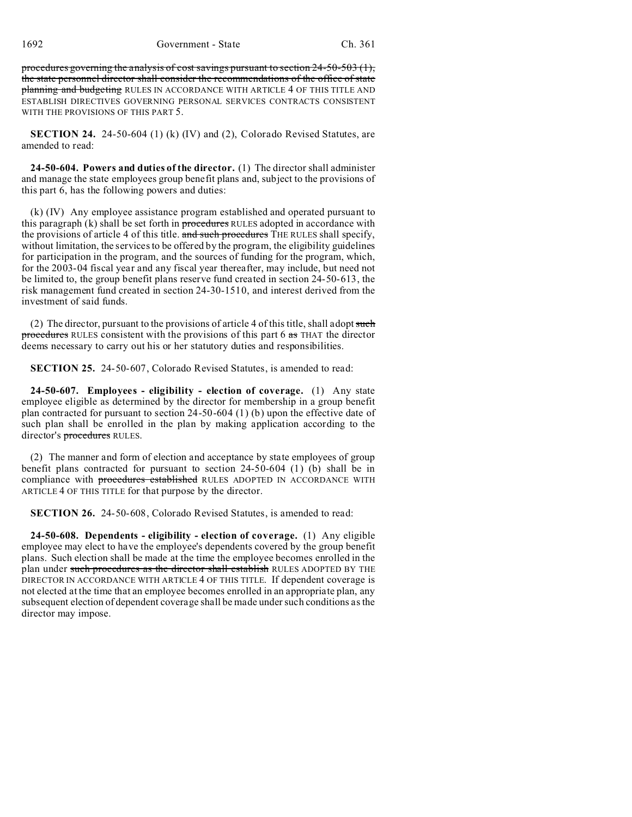procedures governing the analysis of cost savings pursuant to section 24-50-503 (1), the state personnel director shall consider the recommendations of the office of state planning and budgeting RULES IN ACCORDANCE WITH ARTICLE 4 OF THIS TITLE AND ESTABLISH DIRECTIVES GOVERNING PERSONAL SERVICES CONTRACTS CONSISTENT WITH THE PROVISIONS OF THIS PART 5.

**SECTION 24.** 24-50-604 (1) (k) (IV) and (2), Colorado Revised Statutes, are amended to read:

**24-50-604. Powers and duties of the director.** (1) The director shall administer and manage the state employees group benefit plans and, subject to the provisions of this part 6, has the following powers and duties:

(k) (IV) Any employee assistance program established and operated pursuant to this paragraph  $(k)$  shall be set forth in procedures RULES adopted in accordance with the provisions of article 4 of this title. and such procedures THE RULES shall specify, without limitation, the services to be offered by the program, the eligibility guidelines for participation in the program, and the sources of funding for the program, which, for the 2003-04 fiscal year and any fiscal year thereafter, may include, but need not be limited to, the group benefit plans reserve fund created in section 24-50-613, the risk management fund created in section 24-30-1510, and interest derived from the investment of said funds.

(2) The director, pursuant to the provisions of article 4 of this title, shall adopt such procedures RULES consistent with the provisions of this part 6 as THAT the director deems necessary to carry out his or her statutory duties and responsibilities.

**SECTION 25.** 24-50-607, Colorado Revised Statutes, is amended to read:

**24-50-607. Employees - eligibility - election of coverage.** (1) Any state employee eligible as determined by the director for membership in a group benefit plan contracted for pursuant to section 24-50-604 (1) (b) upon the effective date of such plan shall be enrolled in the plan by making application according to the director's **procedures** RULES.

(2) The manner and form of election and acceptance by state employees of group benefit plans contracted for pursuant to section 24-50-604 (1) (b) shall be in compliance with procedures established RULES ADOPTED IN ACCORDANCE WITH ARTICLE 4 OF THIS TITLE for that purpose by the director.

**SECTION 26.** 24-50-608, Colorado Revised Statutes, is amended to read:

**24-50-608. Dependents - eligibility - election of coverage.** (1) Any eligible employee may elect to have the employee's dependents covered by the group benefit plans. Such election shall be made at the time the employee becomes enrolled in the plan under such procedures as the director shall establish RULES ADOPTED BY THE DIRECTOR IN ACCORDANCE WITH ARTICLE 4 OF THIS TITLE. If dependent coverage is not elected at the time that an employee becomes enrolled in an appropriate plan, any subsequent election of dependent coverage shall be made under such conditions as the director may impose.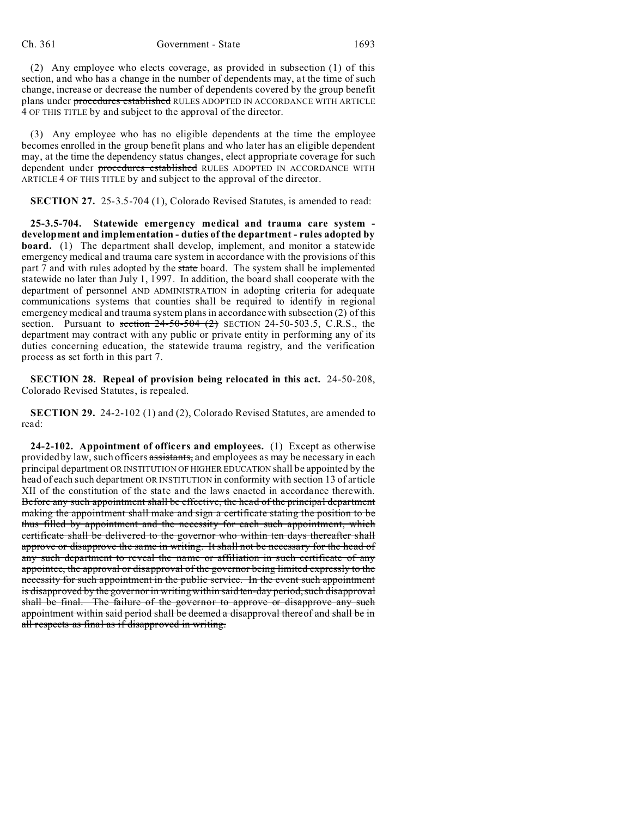(2) Any employee who elects coverage, as provided in subsection (1) of this section, and who has a change in the number of dependents may, at the time of such change, increase or decrease the number of dependents covered by the group benefit plans under procedures established RULES ADOPTED IN ACCORDANCE WITH ARTICLE 4 OF THIS TITLE by and subject to the approval of the director.

(3) Any employee who has no eligible dependents at the time the employee becomes enrolled in the group benefit plans and who later has an eligible dependent may, at the time the dependency status changes, elect appropriate coverage for such dependent under procedures established RULES ADOPTED IN ACCORDANCE WITH ARTICLE 4 OF THIS TITLE by and subject to the approval of the director.

**SECTION 27.** 25-3.5-704 (1), Colorado Revised Statutes, is amended to read:

**25-3.5-704. Statewide emergency medical and trauma care system development and implementation - duties of the department - rules adopted by board.** (1) The department shall develop, implement, and monitor a statewide emergency medical and trauma care system in accordance with the provisions of this part 7 and with rules adopted by the state board. The system shall be implemented statewide no later than July 1, 1997. In addition, the board shall cooperate with the department of personnel AND ADMINISTRATION in adopting criteria for adequate communications systems that counties shall be required to identify in regional emergency medical and trauma system plans in accordance with subsection (2) of this section. Pursuant to section  $24-50-504$  (2) SECTION 24-50-503.5, C.R.S., the department may contract with any public or private entity in performing any of its duties concerning education, the statewide trauma registry, and the verification process as set forth in this part 7.

**SECTION 28. Repeal of provision being relocated in this act.** 24-50-208, Colorado Revised Statutes, is repealed.

**SECTION 29.** 24-2-102 (1) and (2), Colorado Revised Statutes, are amended to read:

**24-2-102. Appointment of officers and employees.** (1) Except as otherwise provided by law, such officers assistants, and employees as may be necessary in each principal department OR INSTITUTION OF HIGHER EDUCATION shall be appointed by the head of each such department OR INSTITUTION in conformity with section 13 of article XII of the constitution of the state and the laws enacted in accordance therewith. Before any such appointment shall be effective, the head of the principal department making the appointment shall make and sign a certificate stating the position to be thus filled by appointment and the necessity for each such appointment, which certificate shall be delivered to the governor who within ten days thereafter shall approve or disapprove the same in writing. It shall not be necessary for the head of any such department to reveal the name or affiliation in such certificate of any appointee, the approval or disapproval of the governor being limited expressly to the necessity for such appointment in the public service. In the event such appointment is disapproved by the governor in writing within said ten-day period, such disapproval shall be final. The failure of the governor to approve or disapprove any such appointment within said period shall be deemed a disapproval thereof and shall be in all respects as final as if disapproved in writing.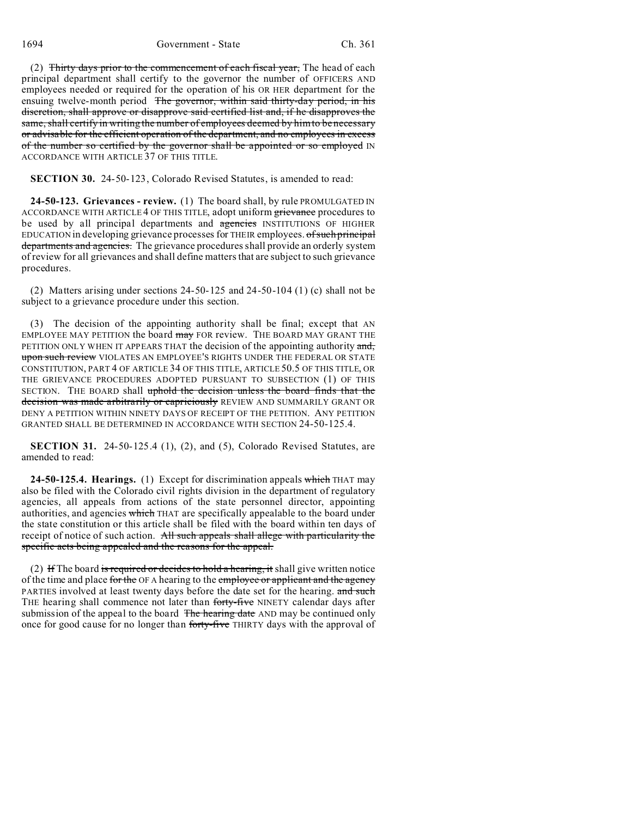1694 Government - State Ch. 361

(2) Thirty days prior to the commencement of each fiscal year, The head of each principal department shall certify to the governor the number of OFFICERS AND employees needed or required for the operation of his OR HER department for the ensuing twelve-month period The governor, within said thirty-day period, in his discretion, shall approve or disapprove said certified list and, if he disapproves the same, shall certify in writing the number of employees deemed by him to be necessary or advisable for the efficient operation of the department, and no employees in excess of the number so certified by the governor shall be appointed or so employed IN ACCORDANCE WITH ARTICLE 37 OF THIS TITLE.

**SECTION 30.** 24-50-123, Colorado Revised Statutes, is amended to read:

**24-50-123. Grievances - review.** (1) The board shall, by rule PROMULGATED IN ACCORDANCE WITH ARTICLE 4 OF THIS TITLE, adopt uniform grievance procedures to be used by all principal departments and agencies INSTITUTIONS OF HIGHER EDUCATION in developing grievance processes for THEIR employees. of such principal departments and agencies. The grievance procedures shall provide an orderly system of review for all grievances and shall define matters that are subject to such grievance procedures.

(2) Matters arising under sections 24-50-125 and 24-50-104 (1) (c) shall not be subject to a grievance procedure under this section.

(3) The decision of the appointing authority shall be final; except that AN EMPLOYEE MAY PETITION the board may FOR review. THE BOARD MAY GRANT THE PETITION ONLY WHEN IT APPEARS THAT the decision of the appointing authority and, upon such review VIOLATES AN EMPLOYEE'S RIGHTS UNDER THE FEDERAL OR STATE CONSTITUTION, PART 4 OF ARTICLE 34 OF THIS TITLE, ARTICLE 50.5 OF THIS TITLE, OR THE GRIEVANCE PROCEDURES ADOPTED PURSUANT TO SUBSECTION (1) OF THIS SECTION. THE BOARD shall uphold the decision unless the board finds that the decision was made arbitrarily or capriciously REVIEW AND SUMMARILY GRANT OR DENY A PETITION WITHIN NINETY DAYS OF RECEIPT OF THE PETITION. ANY PETITION GRANTED SHALL BE DETERMINED IN ACCORDANCE WITH SECTION 24-50-125.4.

**SECTION 31.** 24-50-125.4 (1), (2), and (5), Colorado Revised Statutes, are amended to read:

**24-50-125.4. Hearings.** (1) Except for discrimination appeals which THAT may also be filed with the Colorado civil rights division in the department of regulatory agencies, all appeals from actions of the state personnel director, appointing authorities, and agencies which THAT are specifically appealable to the board under the state constitution or this article shall be filed with the board within ten days of receipt of notice of such action. All such appeals shall allege with particularity the specific acts being appealed and the reasons for the appeal.

(2) If The board is required or decides to hold a hearing, it shall give written notice of the time and place for the OF A hearing to the employee or applicant and the agency PARTIES involved at least twenty days before the date set for the hearing. and such THE hearing shall commence not later than forty-five NINETY calendar days after submission of the appeal to the board The hearing date AND may be continued only once for good cause for no longer than forty-five THIRTY days with the approval of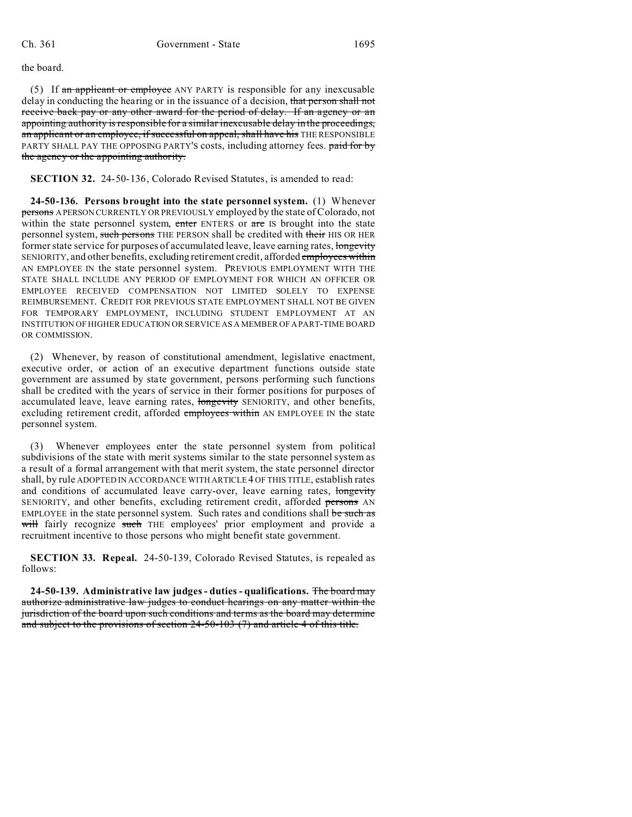the board.

(5) If an applicant or employee ANY PARTY is responsible for any inexcusable delay in conducting the hearing or in the issuance of a decision, that person shall not receive back pay or any other award for the period of delay. If an agency or an appointing authority is responsible for a similar inexcusable delay in the proceedings, an applicant or an employee, if successful on appeal, shall have his THE RESPONSIBLE PARTY SHALL PAY THE OPPOSING PARTY'S costs, including attorney fees. paid for by the agency or the appointing authority.

**SECTION 32.** 24-50-136, Colorado Revised Statutes, is amended to read:

**24-50-136. Persons brought into the state personnel system.** (1) Whenever persons A PERSON CURRENTLY OR PREVIOUSLY employed by the state of Colorado, not within the state personnel system, enter ENTERS or are IS brought into the state personnel system, such persons THE PERSON shall be credited with their HIS OR HER former state service for purposes of accumulated leave, leave earning rates, longevity SENIORITY, and other benefits, excluding retirement credit, afforded employees within AN EMPLOYEE IN the state personnel system. PREVIOUS EMPLOYMENT WITH THE STATE SHALL INCLUDE ANY PERIOD OF EMPLOYMENT FOR WHICH AN OFFICER OR EMPLOYEE RECEIVED COMPENSATION NOT LIMITED SOLELY TO EXPENSE REIMBURSEMENT. CREDIT FOR PREVIOUS STATE EMPLOYMENT SHALL NOT BE GIVEN FOR TEMPORARY EMPLOYMENT, INCLUDING STUDENT EMPLOYMENT AT AN INSTITUTION OF HIGHER EDUCATION OR SERVICE AS A MEMBER OF APART-TIME BOARD OR COMMISSION.

(2) Whenever, by reason of constitutional amendment, legislative enactment, executive order, or action of an executive department functions outside state government are assumed by state government, persons performing such functions shall be credited with the years of service in their former positions for purposes of accumulated leave, leave earning rates, longevity SENIORITY, and other benefits, excluding retirement credit, afforded employees within AN EMPLOYEE IN the state personnel system.

Whenever employees enter the state personnel system from political subdivisions of the state with merit systems similar to the state personnel system as a result of a formal arrangement with that merit system, the state personnel director shall, by rule ADOPTED IN ACCORDANCE WITH ARTICLE 4 OF THIS TITLE, establish rates and conditions of accumulated leave carry-over, leave earning rates, longevity SENIORITY, and other benefits, excluding retirement credit, afforded persons AN EMPLOYEE in the state personnel system. Such rates and conditions shall be such as will fairly recognize such THE employees' prior employment and provide a recruitment incentive to those persons who might benefit state government.

**SECTION 33. Repeal.** 24-50-139, Colorado Revised Statutes, is repealed as follows:

**24-50-139. Administrative law judges - duties - qualifications.** The board may authorize administrative law judges to conduct hearings on any matter within the jurisdiction of the board upon such conditions and terms as the board may determine and subject to the provisions of section 24-50-103 (7) and article 4 of this title.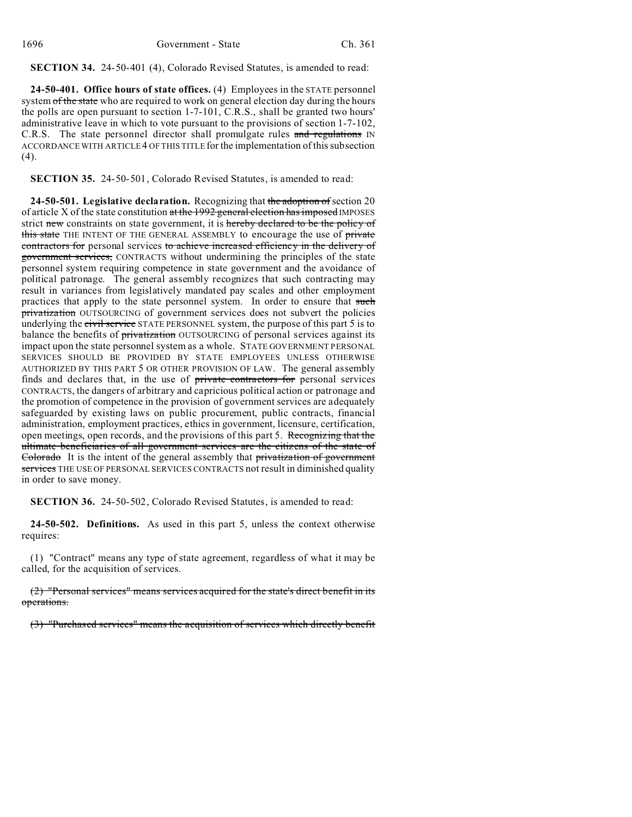**SECTION 34.** 24-50-401 (4), Colorado Revised Statutes, is amended to read:

**24-50-401. Office hours of state offices.** (4) Employees in the STATE personnel system of the state who are required to work on general election day during the hours the polls are open pursuant to section 1-7-101, C.R.S., shall be granted two hours' administrative leave in which to vote pursuant to the provisions of section 1-7-102, C.R.S. The state personnel director shall promulgate rules and regulations IN ACCORDANCE WITH ARTICLE 4 OF THIS TITLE for the implementation of this subsection (4).

**SECTION 35.** 24-50-501, Colorado Revised Statutes, is amended to read:

**24-50-501. Legislative declaration.** Recognizing that the adoption of section 20 of article X of the state constitution at the 1992 general election has imposed IMPOSES strict new constraints on state government, it is hereby declared to be the policy of this state THE INTENT OF THE GENERAL ASSEMBLY to encourage the use of private contractors for personal services to achieve increased efficiency in the delivery of government services, CONTRACTS without undermining the principles of the state personnel system requiring competence in state government and the avoidance of political patronage. The general assembly recognizes that such contracting may result in variances from legislatively mandated pay scales and other employment practices that apply to the state personnel system. In order to ensure that such privatization OUTSOURCING of government services does not subvert the policies underlying the civil service STATE PERSONNEL system, the purpose of this part 5 is to balance the benefits of privatization OUTSOURCING of personal services against its impact upon the state personnel system as a whole. STATE GOVERNMENT PERSONAL SERVICES SHOULD BE PROVIDED BY STATE EMPLOYEES UNLESS OTHERWISE AUTHORIZED BY THIS PART 5 OR OTHER PROVISION OF LAW. The general assembly finds and declares that, in the use of private contractors for personal services CONTRACTS, the dangers of arbitrary and capricious political action or patronage and the promotion of competence in the provision of government services are adequately safeguarded by existing laws on public procurement, public contracts, financial administration, employment practices, ethics in government, licensure, certification, open meetings, open records, and the provisions of this part 5. Recognizing that the ultimate beneficiaries of all government services are the citizens of the state of Colorado It is the intent of the general assembly that privatization of government services THE USE OF PERSONAL SERVICES CONTRACTS not result in diminished quality in order to save money.

**SECTION 36.** 24-50-502, Colorado Revised Statutes, is amended to read:

**24-50-502. Definitions.** As used in this part 5, unless the context otherwise requires:

(1) "Contract" means any type of state agreement, regardless of what it may be called, for the acquisition of services.

(2) "Personal services" means services acquired for the state's direct benefit in its operations.

(3) "Purchased services" means the acquisition of services which directly benefit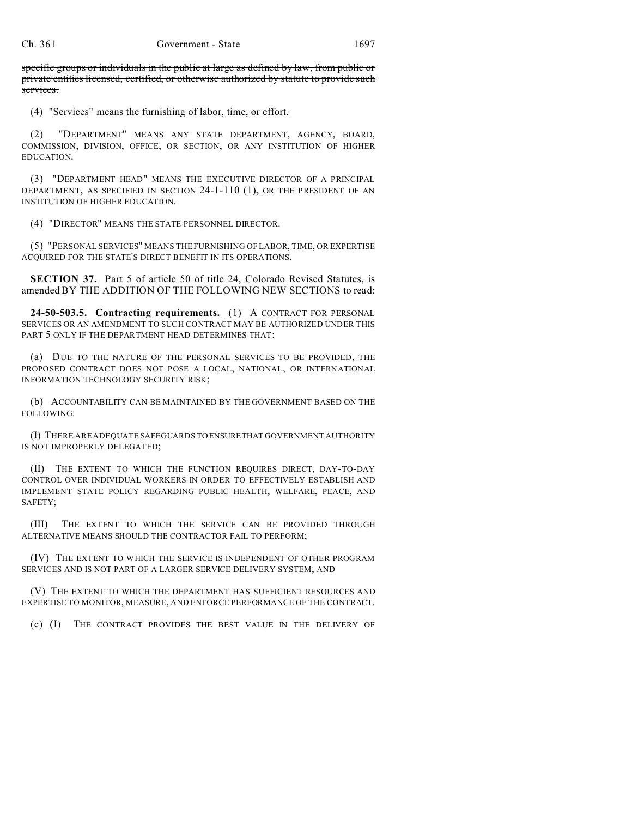specific groups or individuals in the public at large as defined by law, from public or private entities licensed, certified, or otherwise authorized by statute to provide such services.

## (4) "Services" means the furnishing of labor, time, or effort.

(2) "DEPARTMENT" MEANS ANY STATE DEPARTMENT, AGENCY, BOARD, COMMISSION, DIVISION, OFFICE, OR SECTION, OR ANY INSTITUTION OF HIGHER EDUCATION.

(3) "DEPARTMENT HEAD" MEANS THE EXECUTIVE DIRECTOR OF A PRINCIPAL DEPARTMENT, AS SPECIFIED IN SECTION 24-1-110 (1), OR THE PRESIDENT OF AN INSTITUTION OF HIGHER EDUCATION.

(4) "DIRECTOR" MEANS THE STATE PERSONNEL DIRECTOR.

(5) "PERSONAL SERVICES" MEANS THE FURNISHING OF LABOR, TIME, OR EXPERTISE ACQUIRED FOR THE STATE'S DIRECT BENEFIT IN ITS OPERATIONS.

**SECTION 37.** Part 5 of article 50 of title 24, Colorado Revised Statutes, is amended BY THE ADDITION OF THE FOLLOWING NEW SECTIONS to read:

**24-50-503.5. Contracting requirements.** (1) A CONTRACT FOR PERSONAL SERVICES OR AN AMENDMENT TO SUCH CONTRACT MAY BE AUTHORIZED UNDER THIS PART 5 ONLY IF THE DEPARTMENT HEAD DETERMINES THAT:

(a) DUE TO THE NATURE OF THE PERSONAL SERVICES TO BE PROVIDED, THE PROPOSED CONTRACT DOES NOT POSE A LOCAL, NATIONAL, OR INTERNATIONAL INFORMATION TECHNOLOGY SECURITY RISK;

(b) ACCOUNTABILITY CAN BE MAINTAINED BY THE GOVERNMENT BASED ON THE FOLLOWING:

(I) THERE ARE ADEQUATE SAFEGUARDS TO ENSURETHAT GOVERNMENT AUTHORITY IS NOT IMPROPERLY DELEGATED;

(II) THE EXTENT TO WHICH THE FUNCTION REQUIRES DIRECT, DAY-TO-DAY CONTROL OVER INDIVIDUAL WORKERS IN ORDER TO EFFECTIVELY ESTABLISH AND IMPLEMENT STATE POLICY REGARDING PUBLIC HEALTH, WELFARE, PEACE, AND SAFETY;

(III) THE EXTENT TO WHICH THE SERVICE CAN BE PROVIDED THROUGH ALTERNATIVE MEANS SHOULD THE CONTRACTOR FAIL TO PERFORM;

(IV) THE EXTENT TO WHICH THE SERVICE IS INDEPENDENT OF OTHER PROGRAM SERVICES AND IS NOT PART OF A LARGER SERVICE DELIVERY SYSTEM; AND

(V) THE EXTENT TO WHICH THE DEPARTMENT HAS SUFFICIENT RESOURCES AND EXPERTISE TO MONITOR, MEASURE, AND ENFORCE PERFORMANCE OF THE CONTRACT.

(c) (I) THE CONTRACT PROVIDES THE BEST VALUE IN THE DELIVERY OF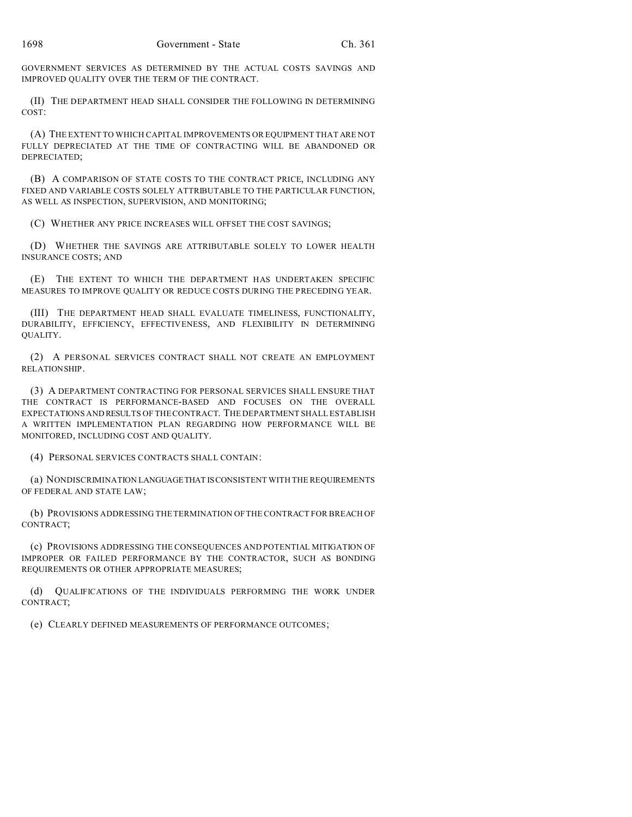GOVERNMENT SERVICES AS DETERMINED BY THE ACTUAL COSTS SAVINGS AND IMPROVED QUALITY OVER THE TERM OF THE CONTRACT.

(II) THE DEPARTMENT HEAD SHALL CONSIDER THE FOLLOWING IN DETERMINING COST:

(A) THE EXTENT TO WHICH CAPITAL IMPROVEMENTS OR EQUIPMENT THAT ARE NOT FULLY DEPRECIATED AT THE TIME OF CONTRACTING WILL BE ABANDONED OR DEPRECIATED;

(B) A COMPARISON OF STATE COSTS TO THE CONTRACT PRICE, INCLUDING ANY FIXED AND VARIABLE COSTS SOLELY ATTRIBUTABLE TO THE PARTICULAR FUNCTION, AS WELL AS INSPECTION, SUPERVISION, AND MONITORING;

(C) WHETHER ANY PRICE INCREASES WILL OFFSET THE COST SAVINGS;

(D) WHETHER THE SAVINGS ARE ATTRIBUTABLE SOLELY TO LOWER HEALTH INSURANCE COSTS; AND

(E) THE EXTENT TO WHICH THE DEPARTMENT HAS UNDERTAKEN SPECIFIC MEASURES TO IMPROVE QUALITY OR REDUCE COSTS DURING THE PRECEDING YEAR.

(III) THE DEPARTMENT HEAD SHALL EVALUATE TIMELINESS, FUNCTIONALITY, DURABILITY, EFFICIENCY, EFFECTIVENESS, AND FLEXIBILITY IN DETERMINING QUALITY.

(2) A PERSONAL SERVICES CONTRACT SHALL NOT CREATE AN EMPLOYMENT RELATIONSHIP.

(3) A DEPARTMENT CONTRACTING FOR PERSONAL SERVICES SHALL ENSURE THAT THE CONTRACT IS PERFORMANCE-BASED AND FOCUSES ON THE OVERALL EXPECTATIONS AND RESULTS OF THE CONTRACT. THE DEPARTMENT SHALL ESTABLISH A WRITTEN IMPLEMENTATION PLAN REGARDING HOW PERFORMANCE WILL BE MONITORED, INCLUDING COST AND QUALITY.

(4) PERSONAL SERVICES CONTRACTS SHALL CONTAIN:

(a) NONDISCRIMINATION LANGUAGETHAT ISCONSISTENT WITH THE REQUIREMENTS OF FEDERAL AND STATE LAW;

(b) PROVISIONS ADDRESSING THE TERMINATION OF THE CONTRACT FOR BREACH OF CONTRACT;

(c) PROVISIONS ADDRESSING THE CONSEQUENCES AND POTENTIAL MITIGATION OF IMPROPER OR FAILED PERFORMANCE BY THE CONTRACTOR, SUCH AS BONDING REQUIREMENTS OR OTHER APPROPRIATE MEASURES;

(d) QUALIFICATIONS OF THE INDIVIDUALS PERFORMING THE WORK UNDER CONTRACT;

(e) CLEARLY DEFINED MEASUREMENTS OF PERFORMANCE OUTCOMES;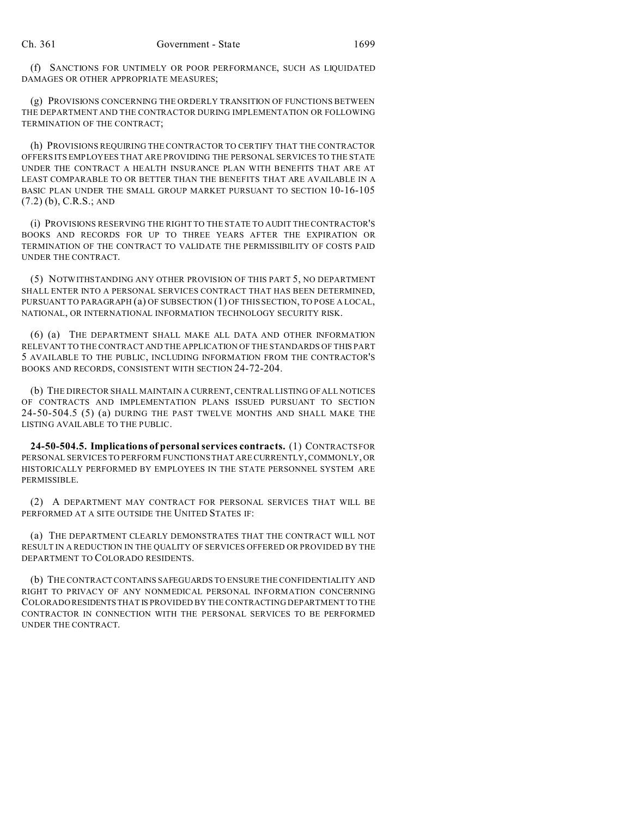(f) SANCTIONS FOR UNTIMELY OR POOR PERFORMANCE, SUCH AS LIQUIDATED DAMAGES OR OTHER APPROPRIATE MEASURES;

(g) PROVISIONS CONCERNING THE ORDERLY TRANSITION OF FUNCTIONS BETWEEN THE DEPARTMENT AND THE CONTRACTOR DURING IMPLEMENTATION OR FOLLOWING TERMINATION OF THE CONTRACT;

(h) PROVISIONS REQUIRING THE CONTRACTOR TO CERTIFY THAT THE CONTRACTOR OFFERS ITS EMPLOYEES THAT ARE PROVIDING THE PERSONAL SERVICES TO THE STATE UNDER THE CONTRACT A HEALTH INSURANCE PLAN WITH BENEFITS THAT ARE AT LEAST COMPARABLE TO OR BETTER THAN THE BENEFITS THAT ARE AVAILABLE IN A BASIC PLAN UNDER THE SMALL GROUP MARKET PURSUANT TO SECTION 10-16-105 (7.2) (b), C.R.S.; AND

(i) PROVISIONS RESERVING THE RIGHT TO THE STATE TO AUDIT THE CONTRACTOR'S BOOKS AND RECORDS FOR UP TO THREE YEARS AFTER THE EXPIRATION OR TERMINATION OF THE CONTRACT TO VALIDATE THE PERMISSIBILITY OF COSTS PAID UNDER THE CONTRACT.

(5) NOTWITHSTANDING ANY OTHER PROVISION OF THIS PART 5, NO DEPARTMENT SHALL ENTER INTO A PERSONAL SERVICES CONTRACT THAT HAS BEEN DETERMINED, PURSUANT TO PARAGRAPH (a) OF SUBSECTION (1) OF THIS SECTION, TO POSE A LOCAL, NATIONAL, OR INTERNATIONAL INFORMATION TECHNOLOGY SECURITY RISK.

(6) (a) THE DEPARTMENT SHALL MAKE ALL DATA AND OTHER INFORMATION RELEVANT TO THE CONTRACT AND THE APPLICATION OF THE STANDARDS OF THIS PART 5 AVAILABLE TO THE PUBLIC, INCLUDING INFORMATION FROM THE CONTRACTOR'S BOOKS AND RECORDS, CONSISTENT WITH SECTION 24-72-204.

(b) THE DIRECTOR SHALL MAINTAIN A CURRENT, CENTRAL LISTING OF ALL NOTICES OF CONTRACTS AND IMPLEMENTATION PLANS ISSUED PURSUANT TO SECTION 24-50-504.5 (5) (a) DURING THE PAST TWELVE MONTHS AND SHALL MAKE THE LISTING AVAILABLE TO THE PUBLIC.

**24-50-504.5. Implications of personal services contracts.** (1) CONTRACTS FOR PERSONAL SERVICES TO PERFORM FUNCTIONS THAT ARE CURRENTLY, COMMONLY, OR HISTORICALLY PERFORMED BY EMPLOYEES IN THE STATE PERSONNEL SYSTEM ARE PERMISSIBLE.

(2) A DEPARTMENT MAY CONTRACT FOR PERSONAL SERVICES THAT WILL BE PERFORMED AT A SITE OUTSIDE THE UNITED STATES IF:

(a) THE DEPARTMENT CLEARLY DEMONSTRATES THAT THE CONTRACT WILL NOT RESULT IN A REDUCTION IN THE QUALITY OF SERVICES OFFERED OR PROVIDED BY THE DEPARTMENT TO COLORADO RESIDENTS.

(b) THE CONTRACT CONTAINS SAFEGUARDS TO ENSURE THE CONFIDENTIALITY AND RIGHT TO PRIVACY OF ANY NONMEDICAL PERSONAL INFORMATION CONCERNING COLORADO RESIDENTSTHAT IS PROVIDED BY THE CONTRACTING DEPARTMENT TO THE CONTRACTOR IN CONNECTION WITH THE PERSONAL SERVICES TO BE PERFORMED UNDER THE CONTRACT.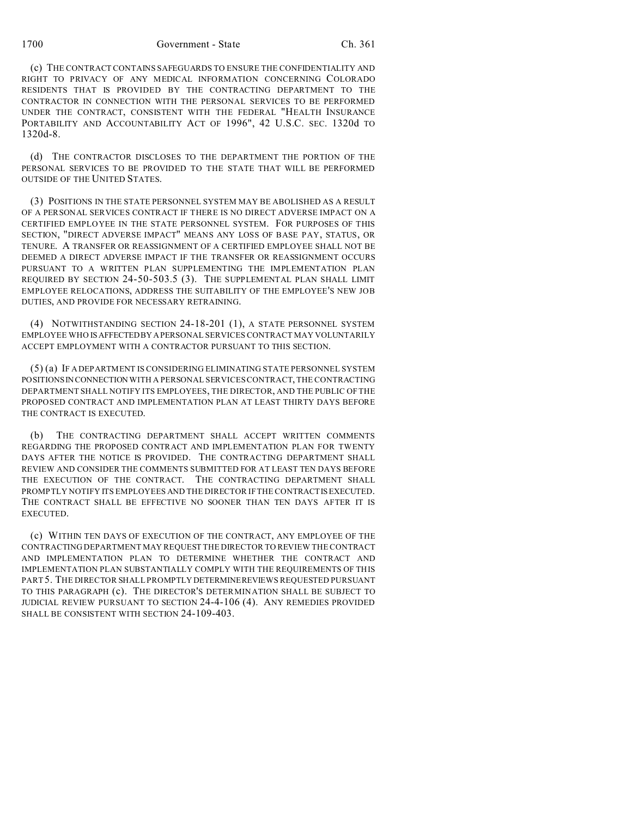## 1700 Government - State Ch. 361

(c) THE CONTRACT CONTAINS SAFEGUARDS TO ENSURE THE CONFIDENTIALITY AND RIGHT TO PRIVACY OF ANY MEDICAL INFORMATION CONCERNING COLORADO RESIDENTS THAT IS PROVIDED BY THE CONTRACTING DEPARTMENT TO THE CONTRACTOR IN CONNECTION WITH THE PERSONAL SERVICES TO BE PERFORMED UNDER THE CONTRACT, CONSISTENT WITH THE FEDERAL "HEALTH INSURANCE PORTABILITY AND ACCOUNTABILITY ACT OF 1996", 42 U.S.C. SEC. 1320d TO 1320d-8.

(d) THE CONTRACTOR DISCLOSES TO THE DEPARTMENT THE PORTION OF THE PERSONAL SERVICES TO BE PROVIDED TO THE STATE THAT WILL BE PERFORMED OUTSIDE OF THE UNITED STATES.

(3) POSITIONS IN THE STATE PERSONNEL SYSTEM MAY BE ABOLISHED AS A RESULT OF A PERSONAL SERVICES CONTRACT IF THERE IS NO DIRECT ADVERSE IMPACT ON A CERTIFIED EMPLOYEE IN THE STATE PERSONNEL SYSTEM. FOR PURPOSES OF THIS SECTION, "DIRECT ADVERSE IMPACT" MEANS ANY LOSS OF BASE PAY, STATUS, OR TENURE. A TRANSFER OR REASSIGNMENT OF A CERTIFIED EMPLOYEE SHALL NOT BE DEEMED A DIRECT ADVERSE IMPACT IF THE TRANSFER OR REASSIGNMENT OCCURS PURSUANT TO A WRITTEN PLAN SUPPLEMENTING THE IMPLEMENTATION PLAN REQUIRED BY SECTION 24-50-503.5 (3). THE SUPPLEMENTAL PLAN SHALL LIMIT EMPLOYEE RELOCATIONS, ADDRESS THE SUITABILITY OF THE EMPLOYEE'S NEW JOB DUTIES, AND PROVIDE FOR NECESSARY RETRAINING.

(4) NOTWITHSTANDING SECTION 24-18-201 (1), A STATE PERSONNEL SYSTEM EMPLOYEE WHO ISAFFECTEDBY APERSONAL SERVICES CONTRACT MAY VOLUNTARILY ACCEPT EMPLOYMENT WITH A CONTRACTOR PURSUANT TO THIS SECTION.

(5) (a) IF A DEPARTMENT IS CONSIDERING ELIMINATING STATE PERSONNEL SYSTEM POSITIONSIN CONNECTION WITH A PERSONAL SERVICES CONTRACT, THE CONTRACTING DEPARTMENT SHALL NOTIFY ITS EMPLOYEES, THE DIRECTOR, AND THE PUBLIC OF THE PROPOSED CONTRACT AND IMPLEMENTATION PLAN AT LEAST THIRTY DAYS BEFORE THE CONTRACT IS EXECUTED.

(b) THE CONTRACTING DEPARTMENT SHALL ACCEPT WRITTEN COMMENTS REGARDING THE PROPOSED CONTRACT AND IMPLEMENTATION PLAN FOR TWENTY DAYS AFTER THE NOTICE IS PROVIDED. THE CONTRACTING DEPARTMENT SHALL REVIEW AND CONSIDER THE COMMENTS SUBMITTED FOR AT LEAST TEN DAYS BEFORE THE EXECUTION OF THE CONTRACT. THE CONTRACTING DEPARTMENT SHALL PROMPTLY NOTIFY ITS EMPLOYEES AND THE DIRECTOR IF THE CONTRACTISEXECUTED. THE CONTRACT SHALL BE EFFECTIVE NO SOONER THAN TEN DAYS AFTER IT IS EXECUTED.

(c) WITHIN TEN DAYS OF EXECUTION OF THE CONTRACT, ANY EMPLOYEE OF THE CONTRACTING DEPARTMENT MAY REQUEST THE DIRECTOR TO REVIEW THE CONTRACT AND IMPLEMENTATION PLAN TO DETERMINE WHETHER THE CONTRACT AND IMPLEMENTATION PLAN SUBSTANTIALLY COMPLY WITH THE REQUIREMENTS OF THIS PART5. THE DIRECTOR SHALL PROMPTLY DETERMINEREVIEWS REQUESTED PURSUANT TO THIS PARAGRAPH (c). THE DIRECTOR'S DETERMINATION SHALL BE SUBJECT TO JUDICIAL REVIEW PURSUANT TO SECTION 24-4-106 (4). ANY REMEDIES PROVIDED SHALL BE CONSISTENT WITH SECTION 24-109-403.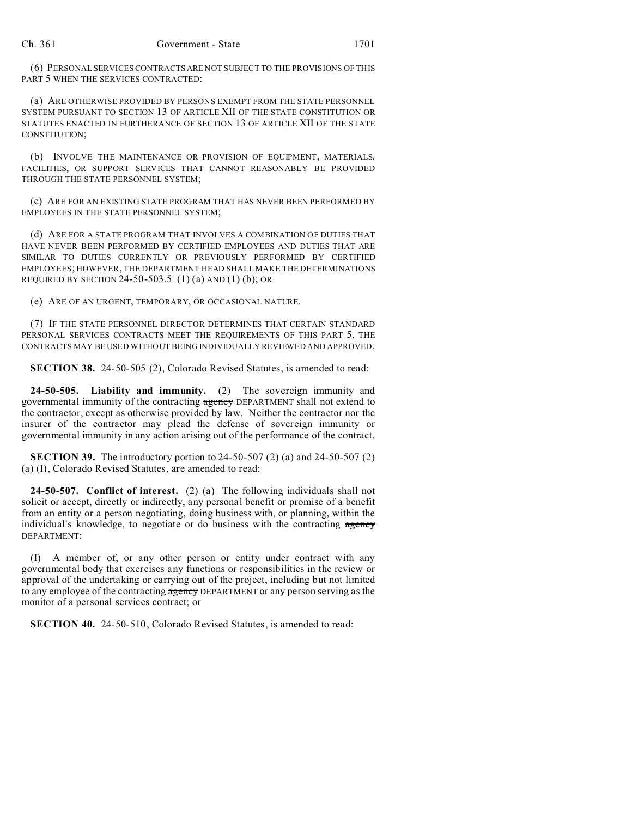(6) PERSONAL SERVICES CONTRACTS ARE NOT SUBJECT TO THE PROVISIONS OF THIS PART 5 WHEN THE SERVICES CONTRACTED:

(a) ARE OTHERWISE PROVIDED BY PERSONS EXEMPT FROM THE STATE PERSONNEL SYSTEM PURSUANT TO SECTION 13 OF ARTICLE XII OF THE STATE CONSTITUTION OR STATUTES ENACTED IN FURTHERANCE OF SECTION 13 OF ARTICLE XII OF THE STATE CONSTITUTION;

(b) INVOLVE THE MAINTENANCE OR PROVISION OF EQUIPMENT, MATERIALS, FACILITIES, OR SUPPORT SERVICES THAT CANNOT REASONABLY BE PROVIDED THROUGH THE STATE PERSONNEL SYSTEM;

(c) ARE FOR AN EXISTING STATE PROGRAM THAT HAS NEVER BEEN PERFORMED BY EMPLOYEES IN THE STATE PERSONNEL SYSTEM;

(d) ARE FOR A STATE PROGRAM THAT INVOLVES A COMBINATION OF DUTIES THAT HAVE NEVER BEEN PERFORMED BY CERTIFIED EMPLOYEES AND DUTIES THAT ARE SIMILAR TO DUTIES CURRENTLY OR PREVIOUSLY PERFORMED BY CERTIFIED EMPLOYEES; HOWEVER, THE DEPARTMENT HEAD SHALL MAKE THE DETERMINATIONS REQUIRED BY SECTION 24-50-503.5  $(1)$  (a) AND  $(1)$  (b); OR

(e) ARE OF AN URGENT, TEMPORARY, OR OCCASIONAL NATURE.

(7) IF THE STATE PERSONNEL DIRECTOR DETERMINES THAT CERTAIN STANDARD PERSONAL SERVICES CONTRACTS MEET THE REQUIREMENTS OF THIS PART 5, THE CONTRACTS MAY BE USED WITHOUT BEING INDIVIDUALLY REVIEWED AND APPROVED.

**SECTION 38.** 24-50-505 (2), Colorado Revised Statutes, is amended to read:

**24-50-505. Liability and immunity.** (2) The sovereign immunity and governmental immunity of the contracting agency DEPARTMENT shall not extend to the contractor, except as otherwise provided by law. Neither the contractor nor the insurer of the contractor may plead the defense of sovereign immunity or governmental immunity in any action arising out of the performance of the contract.

**SECTION 39.** The introductory portion to 24-50-507 (2) (a) and 24-50-507 (2) (a) (I), Colorado Revised Statutes, are amended to read:

**24-50-507. Conflict of interest.** (2) (a) The following individuals shall not solicit or accept, directly or indirectly, any personal benefit or promise of a benefit from an entity or a person negotiating, doing business with, or planning, within the individual's knowledge, to negotiate or do business with the contracting agency DEPARTMENT:

(I) A member of, or any other person or entity under contract with any governmental body that exercises any functions or responsibilities in the review or approval of the undertaking or carrying out of the project, including but not limited to any employee of the contracting agency DEPARTMENT or any person serving as the monitor of a personal services contract; or

**SECTION 40.** 24-50-510, Colorado Revised Statutes, is amended to read: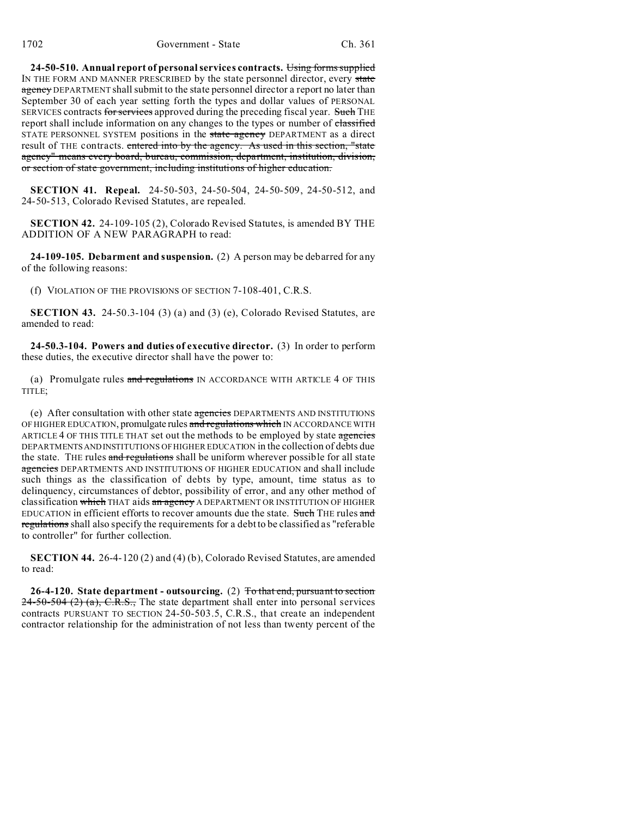**24-50-510. Annual report of personal services contracts.** Using forms supplied IN THE FORM AND MANNER PRESCRIBED by the state personnel director, every state agency DEPARTMENT shall submit to the state personnel director a report no later than September 30 of each year setting forth the types and dollar values of PERSONAL SERVICES contracts for services approved during the preceding fiscal year. Such THE report shall include information on any changes to the types or number of classified STATE PERSONNEL SYSTEM positions in the state agency DEPARTMENT as a direct result of THE contracts. entered into by the agency. As used in this section, "state agency" means every board, bureau, commission, department, institution, division, or section of state government, including institutions of higher education.

**SECTION 41. Repeal.** 24-50-503, 24-50-504, 24-50-509, 24-50-512, and 24-50-513, Colorado Revised Statutes, are repealed.

**SECTION 42.** 24-109-105 (2), Colorado Revised Statutes, is amended BY THE ADDITION OF A NEW PARAGRAPH to read:

**24-109-105. Debarment and suspension.** (2) A person may be debarred for any of the following reasons:

(f) VIOLATION OF THE PROVISIONS OF SECTION 7-108-401, C.R.S.

**SECTION 43.** 24-50.3-104 (3) (a) and (3) (e), Colorado Revised Statutes, are amended to read:

**24-50.3-104. Powers and duties of executive director.** (3) In order to perform these duties, the executive director shall have the power to:

(a) Promulgate rules and regulations IN ACCORDANCE WITH ARTICLE 4 OF THIS TITLE;

(e) After consultation with other state agencies DEPARTMENTS AND INSTITUTIONS OF HIGHER EDUCATION, promulgate rules and regulations which IN ACCORDANCE WITH ARTICLE 4 OF THIS TITLE THAT set out the methods to be employed by state agencies DEPARTMENTSANDINSTITUTIONS OF HIGHER EDUCATION in the collection of debts due the state. The rules and regulations shall be uniform wherever possible for all state agencies DEPARTMENTS AND INSTITUTIONS OF HIGHER EDUCATION and shall include such things as the classification of debts by type, amount, time status as to delinquency, circumstances of debtor, possibility of error, and any other method of classification which THAT aids an agency A DEPARTMENT OR INSTITUTION OF HIGHER EDUCATION in efficient efforts to recover amounts due the state. Such THE rules and regulations shall also specify the requirements for a debt to be classified as "referable to controller" for further collection.

**SECTION 44.** 26-4-120 (2) and (4) (b), Colorado Revised Statutes, are amended to read:

**26-4-120. State department - outsourcing.** (2) To that end, pursuant to section  $24-50-504$  (2) (a), C.R.S., The state department shall enter into personal services contracts PURSUANT TO SECTION 24-50-503.5, C.R.S., that create an independent contractor relationship for the administration of not less than twenty percent of the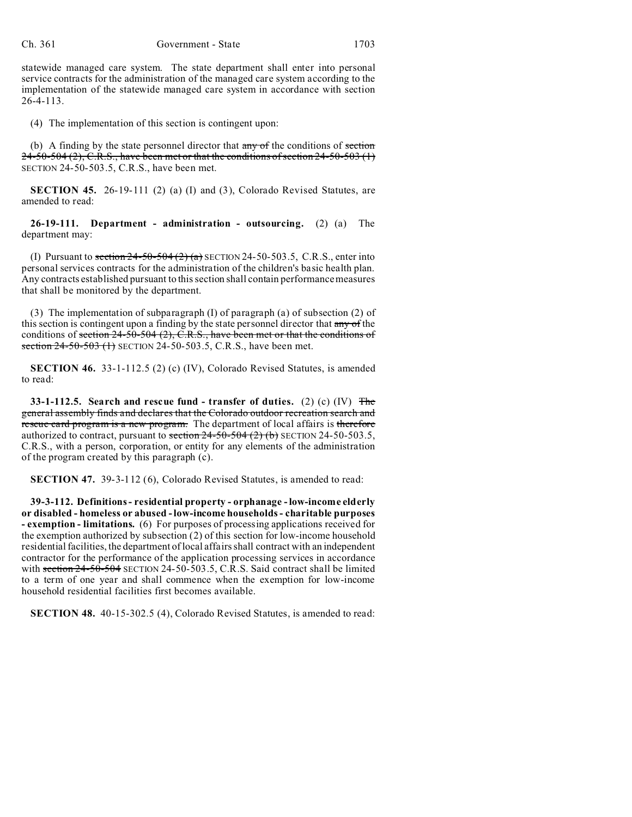statewide managed care system. The state department shall enter into personal service contracts for the administration of the managed care system according to the implementation of the statewide managed care system in accordance with section  $26 - 4 - 113$ .

(4) The implementation of this section is contingent upon:

(b) A finding by the state personnel director that  $\frac{1}{\text{any of the conditions of section}}$  $24-50-504(2)$ , C.R.S., have been met or that the conditions of section 24-50-503 (1) SECTION 24-50-503.5, C.R.S., have been met.

**SECTION 45.** 26-19-111 (2) (a) (I) and (3), Colorado Revised Statutes, are amended to read:

**26-19-111. Department - administration - outsourcing.** (2) (a) The department may:

(I) Pursuant to section  $24-50-504(2)(a)$  SECTION 24-50-503.5, C.R.S., enter into personal services contracts for the administration of the children's basic health plan. Any contracts established pursuant to this section shall contain performance measures that shall be monitored by the department.

(3) The implementation of subparagraph (I) of paragraph (a) of subsection (2) of this section is contingent upon a finding by the state personnel director that any of the conditions of section 24-50-504 (2), C.R.S., have been met or that the conditions of section 24-50-503 (1) SECTION 24-50-503.5, C.R.S., have been met.

**SECTION 46.** 33-1-112.5 (2) (c) (IV), Colorado Revised Statutes, is amended to read:

**33-1-112.5. Search and rescue fund - transfer of duties.** (2) (c) (IV) The general assembly finds and declares that the Colorado outdoor recreation search and rescue card program is a new program. The department of local affairs is therefore authorized to contract, pursuant to section  $24-50-504$  (2) (b) SECTION 24-50-503.5, C.R.S., with a person, corporation, or entity for any elements of the administration of the program created by this paragraph (c).

**SECTION 47.** 39-3-112 (6), Colorado Revised Statutes, is amended to read:

**39-3-112. Definitions - residential property - orphanage - low-income elderly or disabled - homeless or abused - low-income households - charitable purposes - exemption - limitations.** (6) For purposes of processing applications received for the exemption authorized by subsection (2) of this section for low-income household residential facilities, the department of local affairs shall contract with an independent contractor for the performance of the application processing services in accordance with section  $24$ -50-504 SECTION 24-50-503.5, C.R.S. Said contract shall be limited to a term of one year and shall commence when the exemption for low-income household residential facilities first becomes available.

**SECTION 48.** 40-15-302.5 (4), Colorado Revised Statutes, is amended to read: